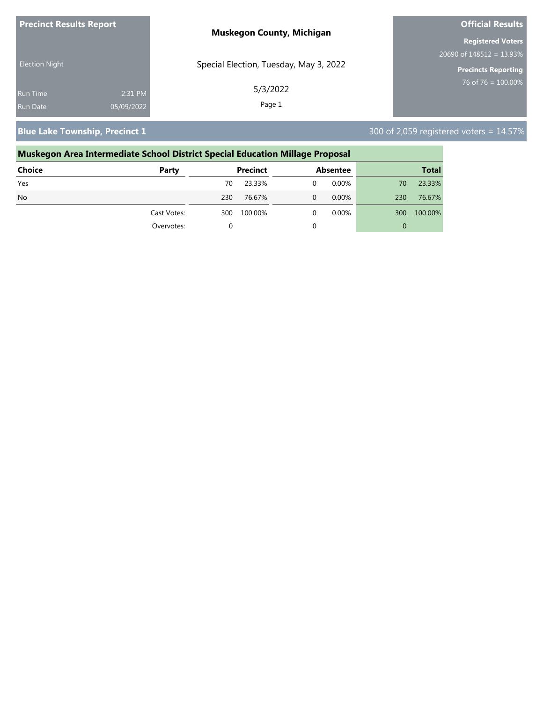| <b>Precinct Results Report</b> |            | <b>Muskegon County, Michigan</b>       | <b>Official Results</b>     |
|--------------------------------|------------|----------------------------------------|-----------------------------|
|                                |            |                                        | <b>Registered Voters</b>    |
|                                |            |                                        | 20690 of $148512 = 13.93\%$ |
| <b>Election Night</b>          |            | Special Election, Tuesday, May 3, 2022 | <b>Precincts Reporting</b>  |
| <b>Run Time</b>                | 2:31 PM    | 5/3/2022                               | $176$ of 76 = 100.00%       |
| Run Date                       | 05/09/2022 | Page 1                                 |                             |

**Blue Lake Township, Precinct 1** 300 of 2,059 registered voters = 14.57%

# **Muskegon Area Intermediate School District Special Education Millage Proposal Choice Party Precinct Absentee Total** Yes 70 23.33% 0 0.00% 70 23.33% No 230 76.67% 0 0.00% 230 76.67% Cast Votes: 300 100.00% 0 0.00% 300 100.00% Overvotes: 0 0 0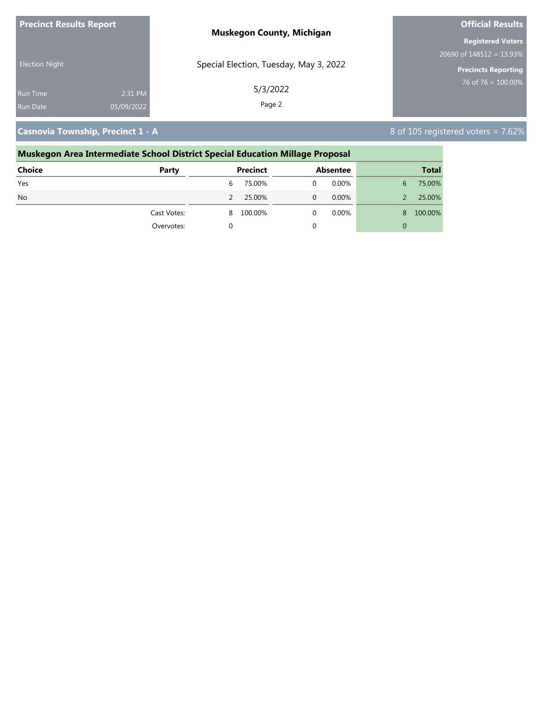| <b>Precinct Results Report</b> |            | <b>Muskegon County, Michigan</b>       | <b>Official Results</b>     |  |
|--------------------------------|------------|----------------------------------------|-----------------------------|--|
|                                |            |                                        | <b>Registered Voters</b>    |  |
|                                |            |                                        | 20690 of $148512 = 13.93\%$ |  |
| <b>Election Night</b>          |            | Special Election, Tuesday, May 3, 2022 | <b>Precincts Reporting</b>  |  |
| <b>Run Time</b>                | 2:31 PM    | 5/3/2022                               | 76 of 76 = $100.00\%$       |  |
| <b>Run Date</b>                | 05/09/2022 | Page 2                                 |                             |  |

### **Casnovia Township, Precinct 1 - A** 8 of 105 registered voters = 7.62%

### **Muskegon Area Intermediate School District Special Education Millage Proposal Choice Party Precinct Absentee Total** Yes 6 75.00% 0 0.00% 6 75.00% No 2 25.00% 0 0.00% 2 25.00% Cast Votes: 8 100.00% 0 0.00% 8 100.00% Overvotes: 0 0 0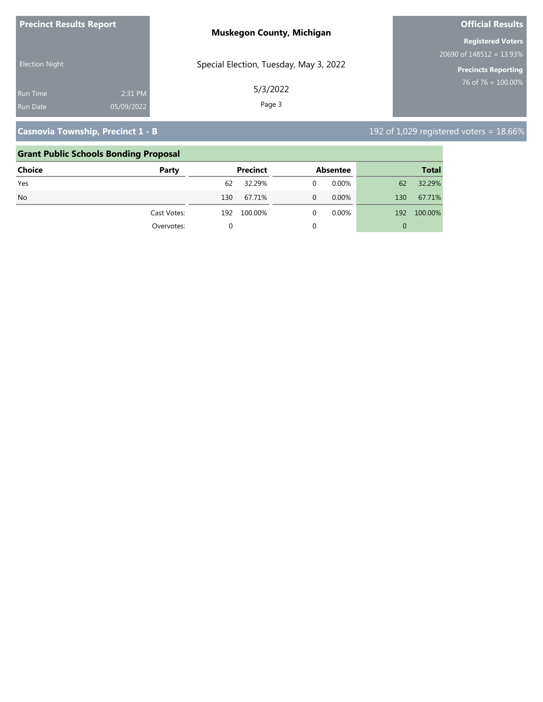| <b>Precinct Results Report</b>                              | <b>Muskegon County, Michigan</b>       | <b>Official Results</b>                                   |
|-------------------------------------------------------------|----------------------------------------|-----------------------------------------------------------|
|                                                             |                                        | <b>Registered Voters</b>                                  |
| <b>Election Night</b>                                       | Special Election, Tuesday, May 3, 2022 | 20690 of $148512 = 13.93\%$<br><b>Precincts Reporting</b> |
| 2:31 PM<br><b>Run Time</b><br>05/09/2022<br><b>Run Date</b> | 5/3/2022<br>Page 3                     | 76 of 76 = $100.00\%$                                     |

# **Casnovia Township, Precinct 1 - B** 192 of 1,029 registered voters = 18.66%

### **Grant Public Schools Bonding Proposal**

| <b>Choice</b> | Party       |     | <b>Precinct</b> |   | <b>Absentee</b> |                | <b>Total</b> |
|---------------|-------------|-----|-----------------|---|-----------------|----------------|--------------|
| Yes           |             | 62  | 32.29%          | 0 | 0.00%           | 62             | 32.29%       |
| <b>No</b>     |             | 130 | 67.71%          | 0 | $0.00\%$        | 130            | 67.71%       |
|               | Cast Votes: | 192 | 100.00%         | 0 | $0.00\%$        | 192            | 100.00%      |
|               | Overvotes:  | 0   |                 | 0 |                 | $\overline{0}$ |              |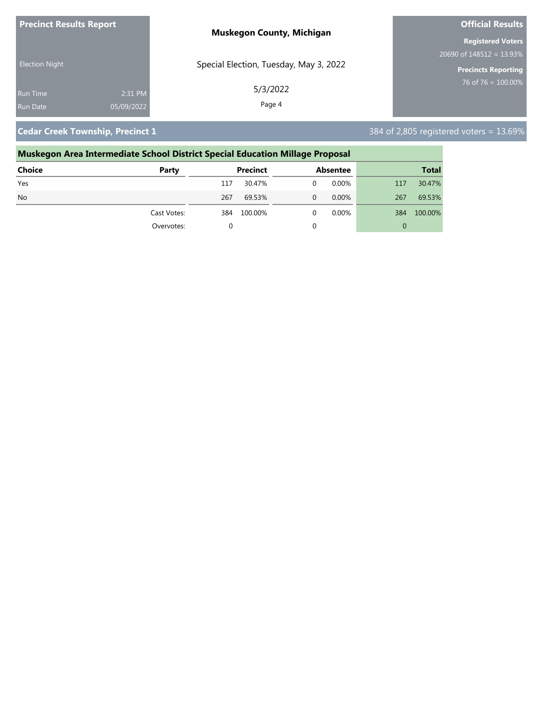| <b>Precinct Results Report</b> |            | <b>Muskegon County, Michigan</b>       | <b>Official Results</b>     |
|--------------------------------|------------|----------------------------------------|-----------------------------|
|                                |            |                                        | <b>Registered Voters</b>    |
|                                |            |                                        | 20690 of $148512 = 13.93\%$ |
| <b>Election Night</b>          |            | Special Election, Tuesday, May 3, 2022 | <b>Precincts Reporting</b>  |
| <b>Run Time</b>                | 2:31 PM    | 5/3/2022                               | $76$ of 76 = 100.00%        |
| Run Date                       | 05/09/2022 | Page 4                                 |                             |

**Cedar Creek Township, Precinct 1** 384 of 2,805 registered voters = 13.69%

# **Muskegon Area Intermediate School District Special Education Millage Proposal Choice Party Precinct Absentee Total** Yes 117 30.47% 0 0.00% 117 30.47% No 267 69.53% 0 0.00% 267 69.53% Cast Votes: 384 100.00% 0 0.00% 384 100.00% Overvotes: 0 0 0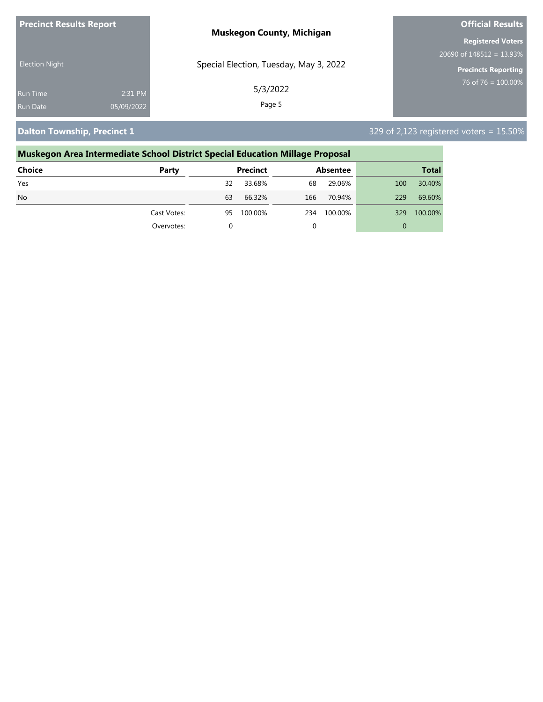| <b>Precinct Results Report</b> | <b>Muskegon County, Michigan</b>       | <b>Official Results</b>     |  |
|--------------------------------|----------------------------------------|-----------------------------|--|
|                                |                                        | <b>Registered Voters</b>    |  |
|                                |                                        | 20690 of $148512 = 13.93\%$ |  |
| <b>Election Night</b>          | Special Election, Tuesday, May 3, 2022 | <b>Precincts Reporting</b>  |  |
| <b>Run Time</b>                | 5/3/2022<br>2:31 PM                    | 76 of 76 = $100.00\%$       |  |
| 05/09/2022<br><b>Run Date</b>  | Page 5                                 |                             |  |

# **Dalton Township, Precinct 1** 329 of 2,123 registered voters = 15.50%

| Muskegon Area Intermediate School District Special Education Millage Proposal |    |         |                 |         |                 |              |  |
|-------------------------------------------------------------------------------|----|---------|-----------------|---------|-----------------|--------------|--|
| Party                                                                         |    |         |                 |         |                 | <b>Total</b> |  |
|                                                                               | 32 | 33.68%  | 68              | 29.06%  | 100             | 30.40%       |  |
|                                                                               | 63 | 66.32%  | 166             | 70.94%  | 229             | 69.60%       |  |
| Cast Votes:                                                                   | 95 | 100.00% | 234             | 100.00% | 329             | 100.00%      |  |
| Overvotes:                                                                    |    |         | 0               |         | $\mathbf 0$     |              |  |
|                                                                               |    |         | <b>Precinct</b> |         | <b>Absentee</b> |              |  |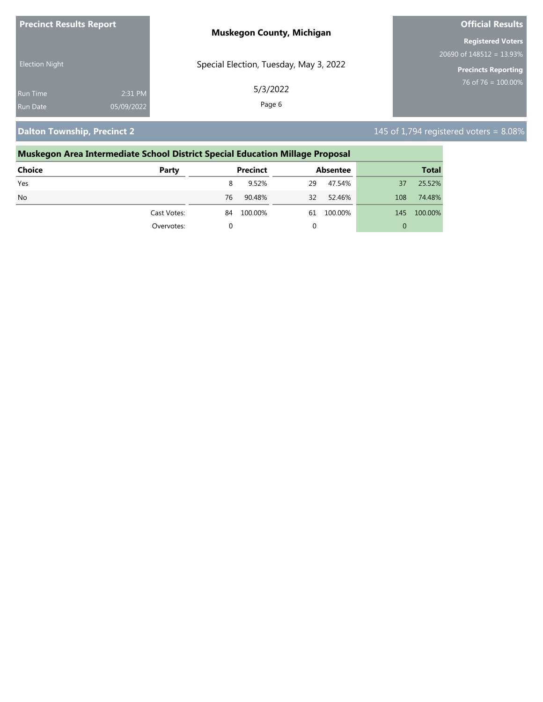| <b>Precinct Results Report</b> | <b>Muskegon County, Michigan</b>       | <b>Official Results</b>     |  |
|--------------------------------|----------------------------------------|-----------------------------|--|
|                                |                                        | <b>Registered Voters</b>    |  |
|                                |                                        | 20690 of $148512 = 13.93\%$ |  |
| <b>Election Night</b>          | Special Election, Tuesday, May 3, 2022 | <b>Precincts Reporting</b>  |  |
| <b>Run Time</b>                | 5/3/2022<br>2:31 PM                    | 76 of 76 = $100.00\%$       |  |
| 05/09/2022<br><b>Run Date</b>  | Page 6                                 |                             |  |

**Dalton Township, Precinct 2** 145 of 1,794 registered voters = 8.08%

# **Muskegon Area Intermediate School District Special Education Millage Proposal**

| <b>Choice</b> | Party       |    | Precinct |    | Absentee |     | <b>Total</b> |
|---------------|-------------|----|----------|----|----------|-----|--------------|
| Yes           |             | 8  | 9.52%    | 29 | 47.54%   | 37  | 25.52%       |
| <b>No</b>     |             | 76 | 90.48%   | 32 | 52.46%   | 108 | 74.48%       |
|               | Cast Votes: | 84 | 100.00%  | 61 | 100.00%  | 145 | 100.00%      |
|               | Overvotes:  |    |          |    |          | 0   |              |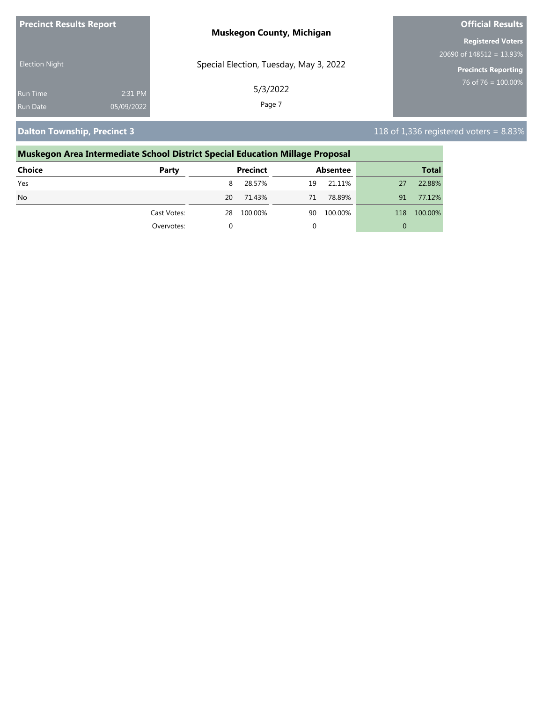| <b>Precinct Results Report</b> |            | <b>Muskegon County, Michigan</b>       | <b>Official Results</b>     |  |
|--------------------------------|------------|----------------------------------------|-----------------------------|--|
|                                |            |                                        | <b>Registered Voters</b>    |  |
|                                |            |                                        | 20690 of $148512 = 13.93\%$ |  |
| <b>Election Night</b>          |            | Special Election, Tuesday, May 3, 2022 | Precincts Reporting         |  |
| <b>Run Time</b>                | 2:31 PM    | 5/3/2022                               | 76 of 76 = $100.00\%$       |  |
| <b>Run Date</b>                | 05/09/2022 | Page 7                                 |                             |  |

**Dalton Township, Precinct 3** 118 of 1,336 registered voters = 8.83%

## **Muskegon Area Intermediate School District Special Education Millage Proposal**

| <b>Choice</b> | Party       |    | <b>Precinct</b> |    | <b>Absentee</b> |          | <b>Total</b> |
|---------------|-------------|----|-----------------|----|-----------------|----------|--------------|
| Yes           |             | 8  | 28.57%          | 19 | 21.11%          | 27       | 22.88%       |
| <b>No</b>     |             | 20 | 71.43%          | 71 | 78.89%          | 91       | 77.12%       |
|               | Cast Votes: | 28 | 100.00%         | 90 | 100.00%         | 118      | 100.00%      |
|               | Overvotes:  |    |                 | 0  |                 | $\Omega$ |              |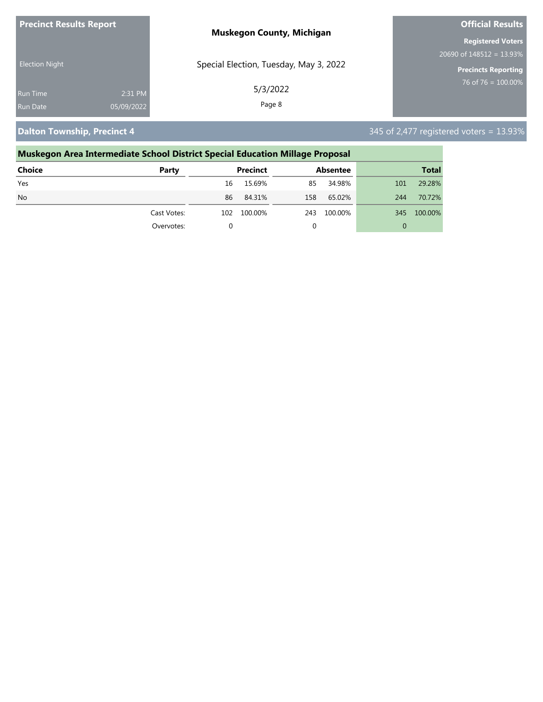| <b>Precinct Results Report</b> | <b>Muskegon County, Michigan</b>       | <b>Official Results</b>    |
|--------------------------------|----------------------------------------|----------------------------|
|                                |                                        | <b>Registered Voters</b>   |
|                                |                                        | $20690$ of 148512 = 13.93% |
| <b>Election Night</b>          | Special Election, Tuesday, May 3, 2022 | <b>Precincts Reporting</b> |
| <b>Run Time</b>                | 5/3/2022<br>2:31 PM                    | $76$ of 76 = $100.00\%$    |
| 05/09/2022<br><b>Run Date</b>  | Page 8                                 |                            |

**Dalton Township, Precinct 4** 345 of 2,477 registered voters = 13.93%

### **Muskegon Area Intermediate School District Special Education Millage Proposal Choice Party Precinct Absentee Total** Yes 16 15.69% 85 34.98% 101 29.28% No 86 84.31% 158 65.02% 244 70.72% Cast Votes: 102 100.00% 243 100.00% 345 100.00% Overvotes: 0 0 0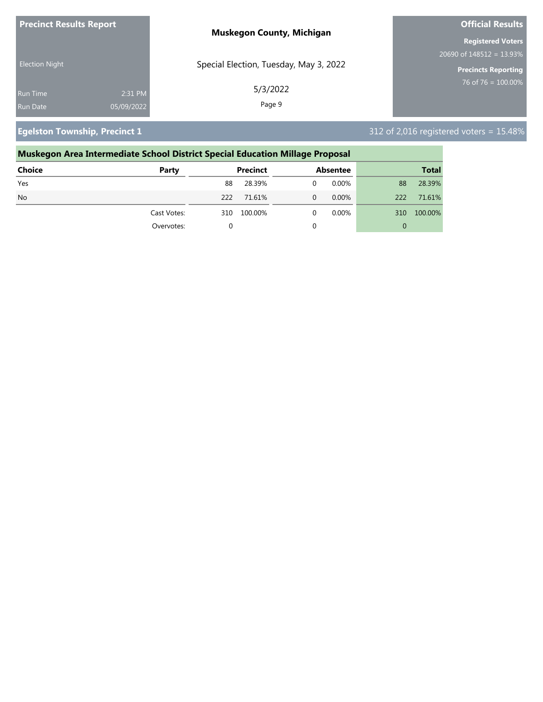| <b>Precinct Results Report</b> | <b>Muskegon County, Michigan</b>       | <b>Official Results</b>     |
|--------------------------------|----------------------------------------|-----------------------------|
|                                |                                        | <b>Registered Voters</b>    |
|                                |                                        | 20690 of $148512 = 13.93\%$ |
| <b>Election Night</b>          | Special Election, Tuesday, May 3, 2022 | <b>Precincts Reporting</b>  |
| 2:31 PM<br><b>Run Time</b>     | 5/3/2022                               | 76 of 76 = $100.00\%$       |
| 05/09/2022<br><b>Run Date</b>  | Page 9                                 |                             |

**Egelston Township, Precinct 1** 312 of 2,016 registered voters = 15.48%

# **Muskegon Area Intermediate School District Special Education Millage Proposal Choice Party Precinct Absentee Total** Yes 88 28.39% 0 0.00% 88 28.39% No 222 71.61% 0 0.00% 222 71.61% Cast Votes: 310 100.00% 0 0.00% 310 100.00% Overvotes: 0 0 0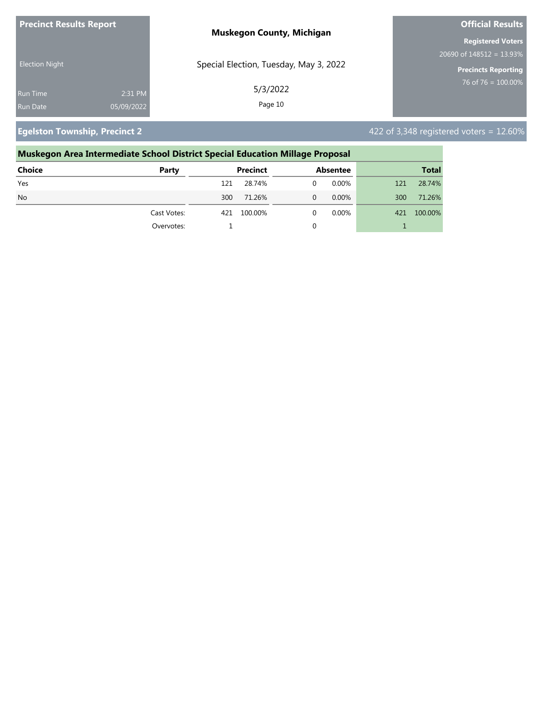| <b>Precinct Results Report</b> |            | <b>Muskegon County, Michigan</b>       | <b>Official Results</b>                  |
|--------------------------------|------------|----------------------------------------|------------------------------------------|
|                                |            |                                        | <b>Registered Voters</b>                 |
|                                |            |                                        | $20690$ of $148\overline{512} = 13.93\%$ |
| <b>Election Night</b>          |            | Special Election, Tuesday, May 3, 2022 | <b>Precincts Reporting</b>               |
| <b>Run Time</b>                | 2:31 PM    | 5/3/2022                               | 76 of 76 = $100.00\%$                    |
| <b>Run Date</b>                | 05/09/2022 | Page 10                                |                                          |

**Egelston Township, Precinct 2**  $\overline{a}$  **422** of 3,348 registered voters = 12.60%

## **Muskegon Area Intermediate School District Special Education Millage Proposal Choice Party Precinct Absentee Total** Yes 121 28.74% 0 0.00% 121 28.74% No 300 71.26% 0 0.00% 300 71.26% Cast Votes: 421 100.00% 0 0.00% 421 100.00% Overvotes: 1 0 1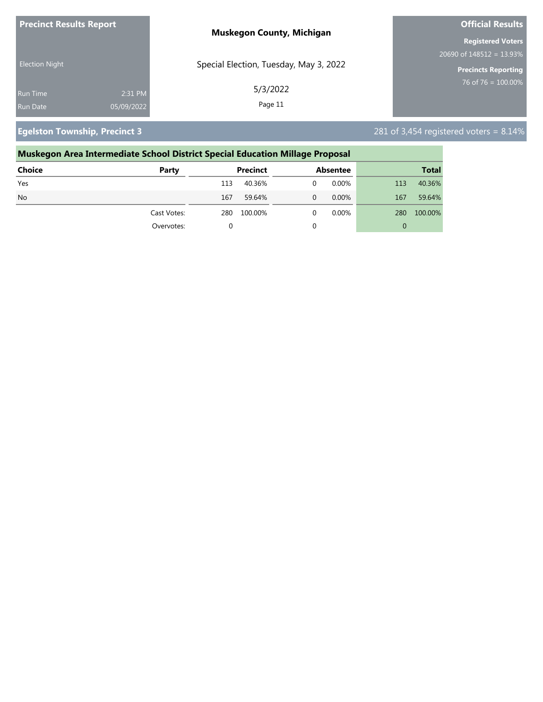| <b>Precinct Results Report</b> |            | <b>Muskegon County, Michigan</b>       | <b>Official Results</b>     |
|--------------------------------|------------|----------------------------------------|-----------------------------|
|                                |            |                                        | <b>Registered Voters</b>    |
|                                |            |                                        | 20690 of $148512 = 13.93\%$ |
| <b>Election Night</b>          |            | Special Election, Tuesday, May 3, 2022 | <b>Precincts Reporting</b>  |
| Run Time                       | 2:31 PM    | 5/3/2022                               | 76 of 76 = $100.00\%$       |
| <b>Run Date</b>                | 05/09/2022 | Page 11                                |                             |

**Egelston Township, Precinct 3** 281 of 3,454 registered voters = 8.14%

## **Muskegon Area Intermediate School District Special Education Millage Proposal Choice Party Precinct Absentee Total** Yes 113 40.36% 0 0.00% 113 40.36% No 167 59.64% 0 0.00% 167 59.64% Cast Votes: 280 100.00% 0 0.00% 280 100.00% Overvotes: 0 0 0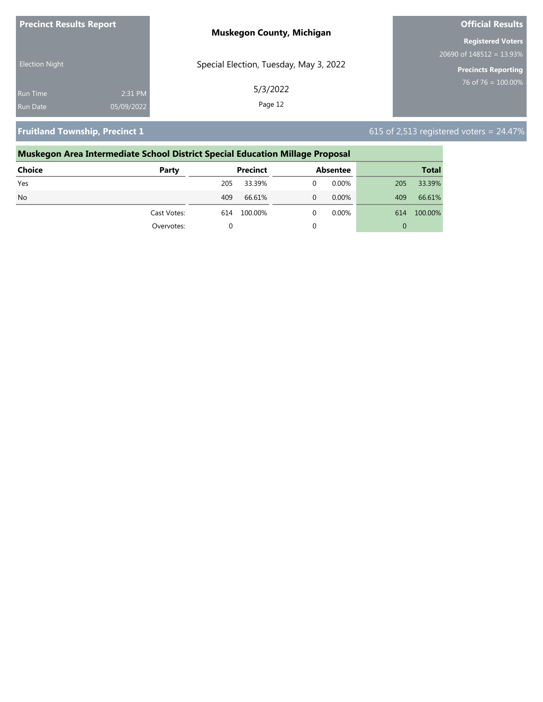| <b>Precinct Results Report</b> |            | <b>Muskegon County, Michigan</b>       | <b>Official Results</b>    |
|--------------------------------|------------|----------------------------------------|----------------------------|
|                                |            |                                        | <b>Registered Voters</b>   |
|                                |            |                                        | $20690$ of 148512 = 13.93% |
| <b>Election Night</b>          |            | Special Election, Tuesday, May 3, 2022 | <b>Precincts Reporting</b> |
| <b>Run Time</b>                | 2:31 PM    | 5/3/2022                               | 76 of 76 = $100.00\%$      |
| <b>Run Date</b>                | 05/09/2022 | Page 12                                |                            |

**Fruitland Township, Precinct 1** 615 of 2,513 registered voters = 24.47%

# **Muskegon Area Intermediate School District Special Education Millage Proposal Choice Party Precinct Absentee Total** Yes 205 33.39% 0 0.00% 205 33.39% No 409 66.61% 0 0.00% 409 66.61% Cast Votes: 614 100.00% 0 0.00% 614 100.00% Overvotes: 0 0 0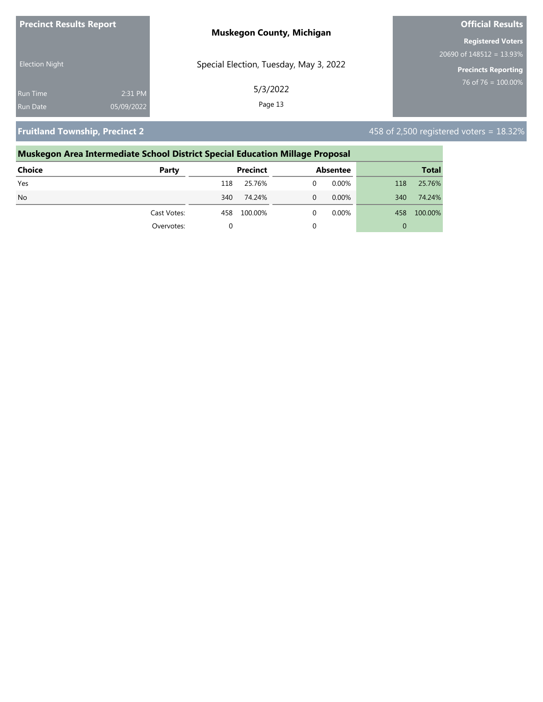| <b>Precinct Results Report</b> |            | <b>Muskegon County, Michigan</b>       | <b>Official Results</b>     |
|--------------------------------|------------|----------------------------------------|-----------------------------|
|                                |            |                                        | <b>Registered Voters</b>    |
|                                |            |                                        | 20690 of $148512 = 13.93\%$ |
| <b>Election Night</b>          |            | Special Election, Tuesday, May 3, 2022 | <b>Precincts Reporting</b>  |
| <b>Run Time</b>                | 2:31 PM    | 5/3/2022                               | 76 of 76 = $100.00\%$       |
| <b>Run Date</b>                | 05/09/2022 | Page 13                                |                             |

**Fruitland Township, Precinct 2** 458 of 2,500 registered voters = 18.32%

# **Muskegon Area Intermediate School District Special Education Millage Proposal Choice Party Precinct Absentee Total** Yes 118 25.76% 0 0.00% 118 25.76% No 340 74.24% 0 0.00% 340 74.24% Cast Votes: 458 100.00% 0 0.00% 458 100.00% Overvotes: 0 0 0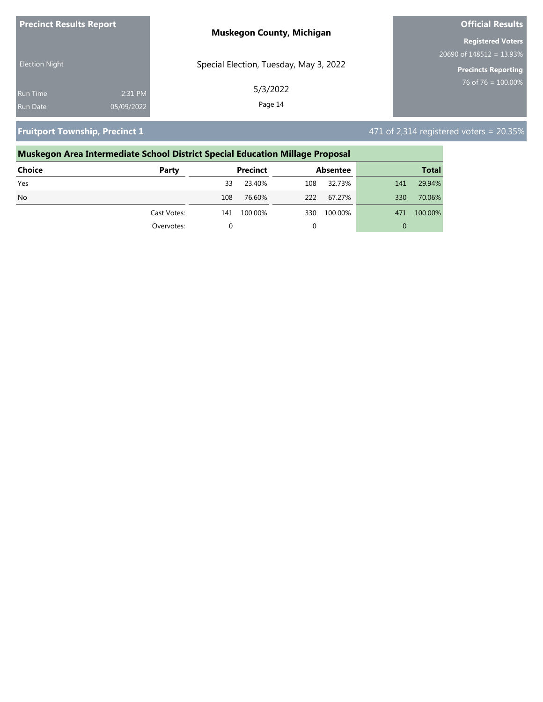| <b>Precinct Results Report</b> |            | <b>Muskegon County, Michigan</b>       | <b>Official Results</b>     |
|--------------------------------|------------|----------------------------------------|-----------------------------|
|                                |            |                                        | <b>Registered Voters</b>    |
|                                |            |                                        | 20690 of $148512 = 13.93\%$ |
| <b>Election Night</b>          |            | Special Election, Tuesday, May 3, 2022 | <b>Precincts Reporting</b>  |
| <b>Run Time</b>                | 2:31 PM    | 5/3/2022                               | 76 of 76 = $100.00\%$       |
| <b>Run Date</b>                | 05/09/2022 | Page 14                                |                             |

**Fruitport Township, Precinct 1 All and 2009 Construction 1** 471 of 2,314 registered voters = 20.35%

# **Muskegon Area Intermediate School District Special Education Millage Proposal Choice Party Precinct Absentee Total**

|           | Overvotes:  |     |             |     |         |     |             |
|-----------|-------------|-----|-------------|-----|---------|-----|-------------|
|           | Cast Votes: |     | 141 100.00% | 330 | 100.00% |     | 471 100.00% |
| <b>No</b> |             | 108 | 76.60%      | 222 | 67.27%  | 330 | 70.06%      |
| Yes       |             | 33  | 23.40%      | 108 | 32.73%  | 141 | 29.94%      |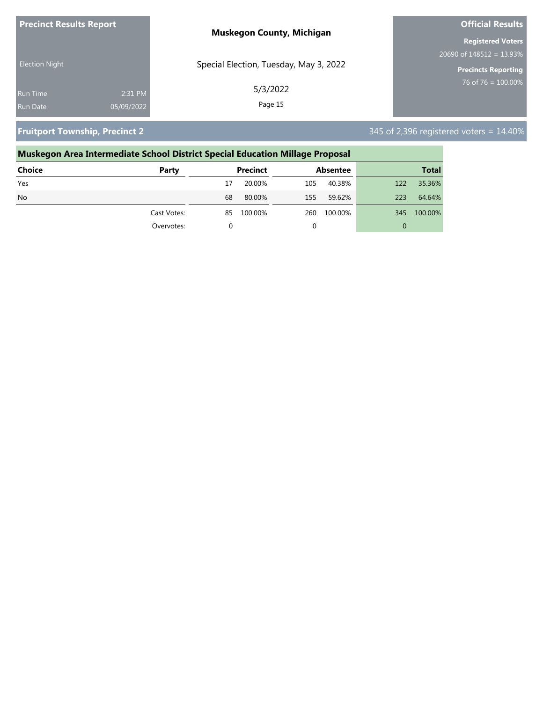| <b>Precinct Results Report</b> |            | <b>Muskegon County, Michigan</b>       | <b>Official Results</b>     |
|--------------------------------|------------|----------------------------------------|-----------------------------|
|                                |            |                                        | <b>Registered Voters</b>    |
|                                |            |                                        | 20690 of $148512 = 13.93\%$ |
| <b>Election Night</b>          |            | Special Election, Tuesday, May 3, 2022 | <b>Precincts Reporting</b>  |
| <b>Run Time</b>                | 2:31 PM    | 5/3/2022                               | 76 of 76 = $100.00\%$       |
| <b>Run Date</b>                | 05/09/2022 | Page 15                                |                             |

**Fruitport Township, Precinct 2** 345 of 2,396 registered voters = 14.40%

| Muskegon Area Intermediate School District Special Education Millage Proposal |             |                 |                 |                |  |
|-------------------------------------------------------------------------------|-------------|-----------------|-----------------|----------------|--|
| Choice                                                                        | Party       | <b>Precinct</b> | <b>Absentee</b> | <b>Total</b>   |  |
| Yes                                                                           |             | 20.00%          | 40.38%<br>105   | 35.36%<br>122  |  |
| N <sub>o</sub>                                                                |             | 80.00%<br>68    | 59.62%<br>155   | 64.64%<br>223  |  |
|                                                                               | Cast Votes: | 100.00%<br>85   | 100.00%<br>260  | 100.00%<br>345 |  |
|                                                                               | Overvotes:  | $\Omega$        |                 | 0              |  |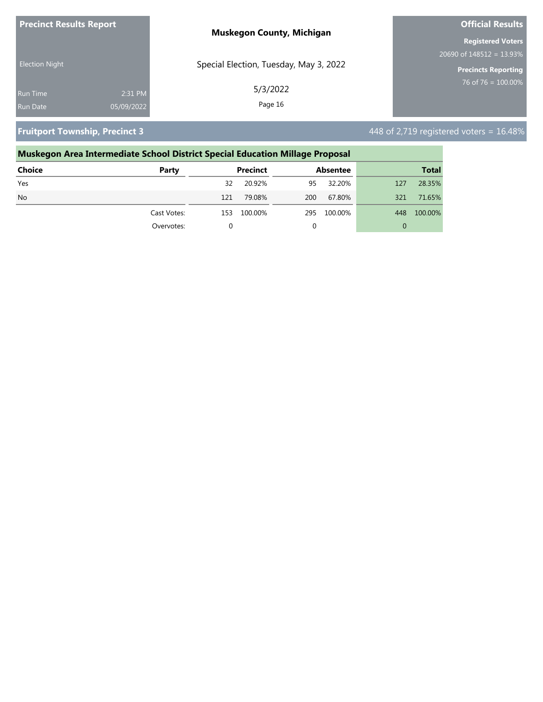| <b>Precinct Results Report</b> |            | <b>Muskegon County, Michigan</b>       | <b>Official Results</b>     |
|--------------------------------|------------|----------------------------------------|-----------------------------|
|                                |            |                                        | <b>Registered Voters</b>    |
|                                |            |                                        | 20690 of $148512 = 13.93\%$ |
| <b>Election Night</b>          |            | Special Election, Tuesday, May 3, 2022 | Precincts Reporting         |
| <b>Run Time</b>                | 2:31 PM    | 5/3/2022                               | 76 of 76 = $100.00\%$       |
| <b>Run Date</b>                | 05/09/2022 | Page 16                                |                             |

**Fruitport Township, Precinct 3 448 of 2,719 registered voters = 16.48%** 

# **Muskegon Area Intermediate School District Special Education Millage Proposal Choice Party Precinct Absentee Total** Yes 32 20.92% 95 32.20% 127 28.35% No 121 79.08% 200 67.80% 321 71.65% Cast Votes: 153 100.00% 295 100.00% 448 100.00% Overvotes: 0 0 0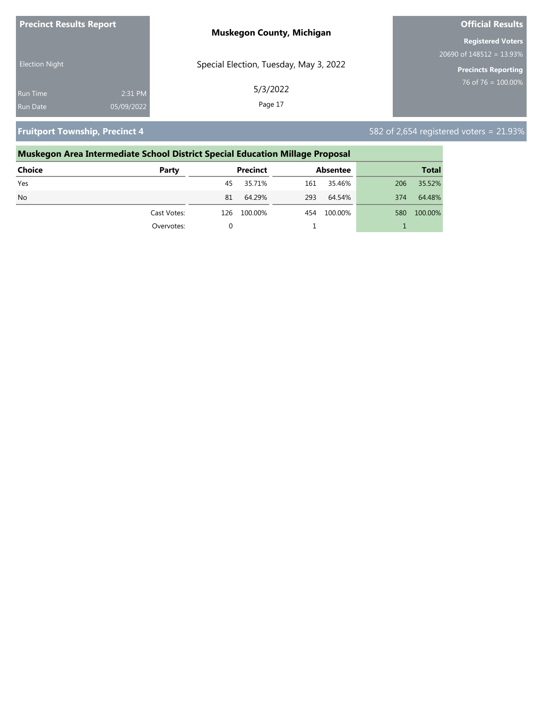| <b>Precinct Results Report</b> |            | <b>Muskegon County, Michigan</b>       | <b>Official Results</b>     |
|--------------------------------|------------|----------------------------------------|-----------------------------|
|                                |            |                                        | <b>Registered Voters</b>    |
|                                |            |                                        | 20690 of $148512 = 13.93\%$ |
| <b>Election Night</b>          |            | Special Election, Tuesday, May 3, 2022 | <b>Precincts Reporting</b>  |
| <b>Run Time</b>                | 2:31 PM    | 5/3/2022                               | 76 of 76 = $100.00\%$       |
| <b>Run Date</b>                | 05/09/2022 | Page 17                                |                             |

**Fruitport Township, Precinct 4** 582 of 2,654 registered voters = 21.93%

### **Muskegon Area Intermediate School District Special Education Millage Proposal Choice Party Precinct Absentee Total** Yes 45 35.71% 161 35.46% 206 35.52% No 81 64.29% 293 64.54% 374 64.48% Cast Votes: 126 100.00% 454 100.00% 580 100.00% Overvotes: 0 1 1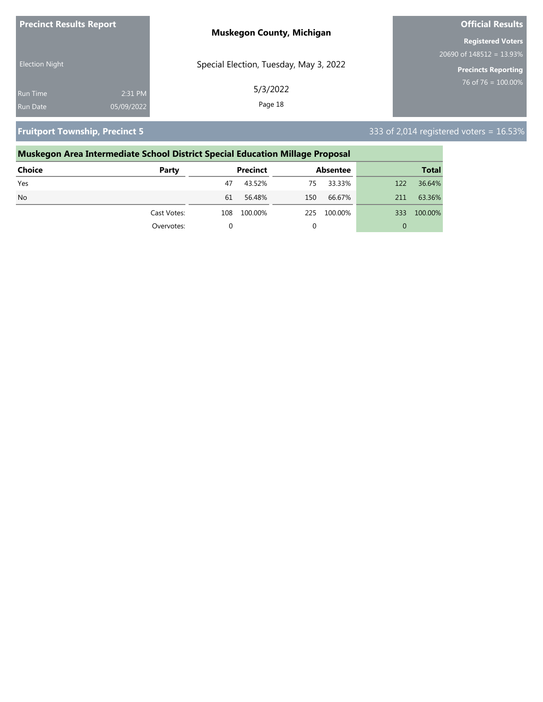| <b>Precinct Results Report</b> |            | <b>Muskegon County, Michigan</b>       | <b>Official Results</b>     |
|--------------------------------|------------|----------------------------------------|-----------------------------|
|                                |            |                                        | <b>Registered Voters</b>    |
|                                |            |                                        | 20690 of $148512 = 13.93\%$ |
| <b>Election Night</b>          |            | Special Election, Tuesday, May 3, 2022 | Precincts Reporting         |
| <b>Run Time</b>                | 2:31 PM    | 5/3/2022                               | 76 of 76 = $100.00\%$       |
| <b>Run Date</b>                | 05/09/2022 | Page 18                                |                             |

**Fruitport Township, Precinct 5** 333 of 2,014 registered voters = 16.53%

### **Muskegon Area Intermediate School District Special Education Millage Proposal Choice Party Precinct Absentee Total** Yes 47 43.52% 75 33.33% 122 36.64% No 61 56.48% 150 66.67% 211 63.36% Cast Votes: 108 100.00% 225 100.00% 333 100.00% Overvotes: 0 0 0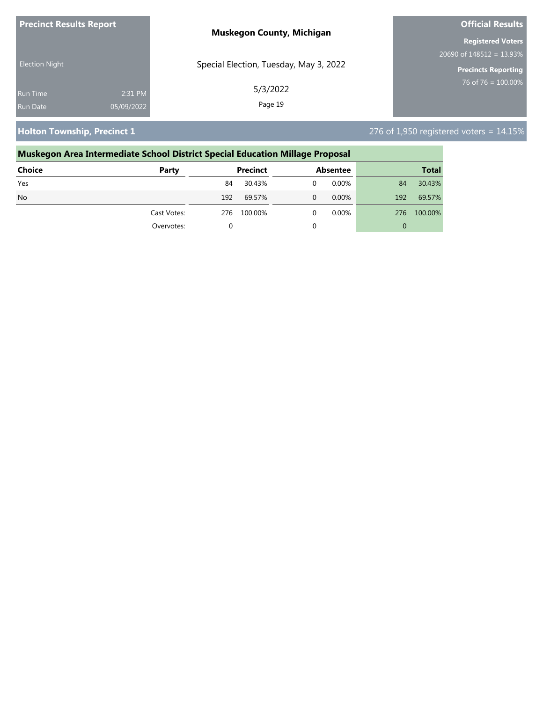| <b>Precinct Results Report</b> |            | <b>Muskegon County, Michigan</b>       | <b>Official Results</b>     |  |
|--------------------------------|------------|----------------------------------------|-----------------------------|--|
|                                |            |                                        | <b>Registered Voters</b>    |  |
| <b>Election Night</b>          |            |                                        | 20690 of $148512 = 13.93\%$ |  |
|                                |            | Special Election, Tuesday, May 3, 2022 | <b>Precincts Reporting</b>  |  |
| <b>Run Time</b>                | 2:31 PM    | 5/3/2022                               | 76 of 76 = $100.00\%$       |  |
| <b>Run Date</b>                | 05/09/2022 | Page 19                                |                             |  |

**Holton Township, Precinct 1** 276 of 1,950 registered voters = 14.15%

# **Muskegon Area Intermediate School District Special Education Millage Proposal Choice Party Precinct Absentee Total** Yes 84 30.43% 0 0.00% 84 30.43% No 192 69.57% 0 0.00% 192 69.57% Cast Votes: 276 100.00% 0 0.00% 276 100.00% Overvotes: 0 0 0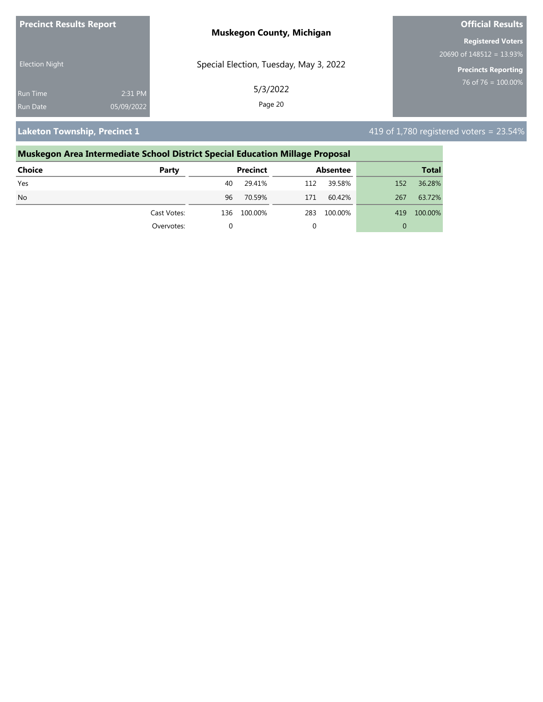| <b>Precinct Results Report</b> |            | <b>Muskegon County, Michigan</b>       | <b>Official Results</b>     |  |
|--------------------------------|------------|----------------------------------------|-----------------------------|--|
|                                |            |                                        | <b>Registered Voters</b>    |  |
| <b>Election Night</b>          |            |                                        | 20690 of $148512 = 13.93\%$ |  |
|                                |            | Special Election, Tuesday, May 3, 2022 | Precincts Reporting         |  |
| <b>Run Time</b>                | 2:31 PM    | 5/3/2022                               | 76 of 76 = $100.00\%$       |  |
| Run Date                       | 05/09/2022 | Page 20                                |                             |  |

**Laketon Township, Precinct 1**  $\blacksquare$  **Laketon Township, Precinct 1**  $\blacksquare$  419 of 1,780 registered voters = 23.54%

# **Muskegon Area Intermediate School District Special Education Millage Proposal Choice Party Precinct Absentee Total** Yes 40 29.41% 112 39.58% 152 36.28% No 96 70.59% 171 60.42% 267 63.72% Cast Votes: 136 100.00% 283 100.00% 419 100.00% Overvotes: 0 0 0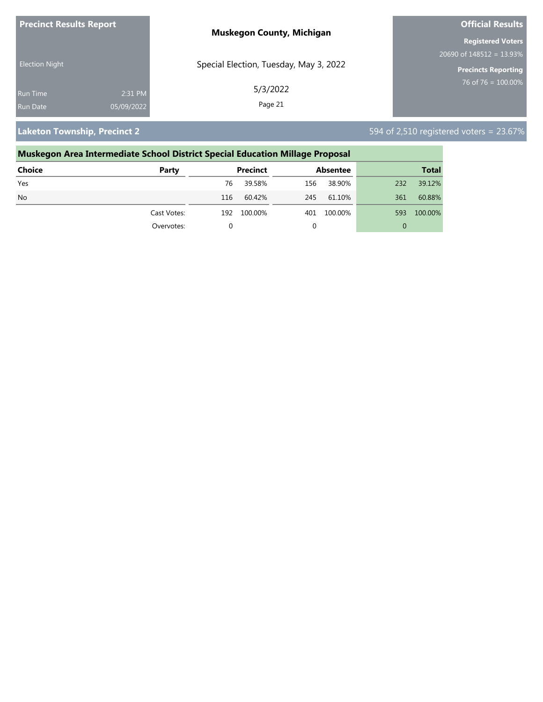| <b>Precinct Results Report</b> |            | <b>Muskegon County, Michigan</b>       | <b>Official Results</b>     |  |
|--------------------------------|------------|----------------------------------------|-----------------------------|--|
|                                |            |                                        | <b>Registered Voters</b>    |  |
| <b>Election Night</b>          |            |                                        | 20690 of $148512 = 13.93\%$ |  |
|                                |            | Special Election, Tuesday, May 3, 2022 | <b>Precincts Reporting</b>  |  |
| Run Time                       | 2:31 PM    | 5/3/2022                               | 76 of 76 = $100.00\%$       |  |
| <b>Run Date</b>                | 05/09/2022 | Page 21                                |                             |  |

**Laketon Township, Precinct 2** 594 of 2,510 registered voters = 23.67%

### **Muskegon Area Intermediate School District Special Education Millage Proposal Choice Party Precinct Absentee Total** Yes 76 39.58% 156 38.90% 232 39.12% No 116 60.42% 245 61.10% 361 60.88% Cast Votes: 192 100.00% 401 100.00% 593 100.00% Overvotes: 0 0 0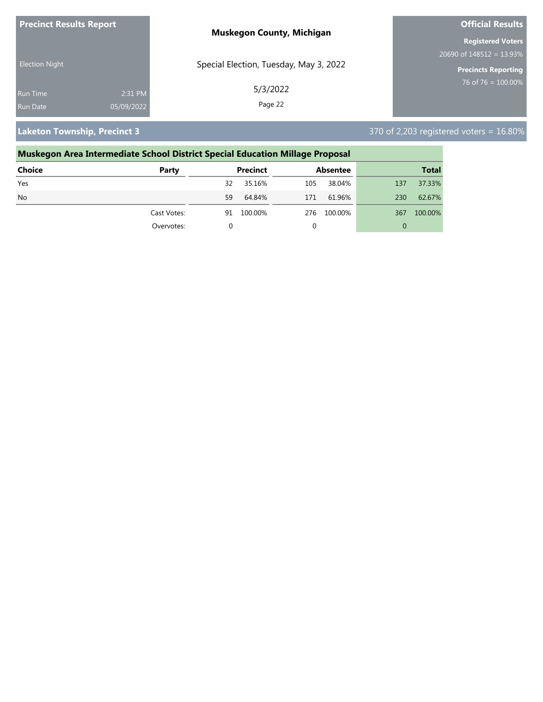| <b>Precinct Results Report</b> |            | <b>Muskegon County, Michigan</b>       | <b>Official Results</b>     |  |
|--------------------------------|------------|----------------------------------------|-----------------------------|--|
|                                |            |                                        | <b>Registered Voters</b>    |  |
| <b>Election Night</b>          |            |                                        | 20690 of $148512 = 13.93\%$ |  |
|                                |            | Special Election, Tuesday, May 3, 2022 | <b>Precincts Reporting</b>  |  |
| Run Time                       | 2:31 PM    | 5/3/2022                               | 76 of 76 = $100.00\%$       |  |
| <b>Run Date</b>                | 05/09/2022 | Page 22                                |                             |  |

**Laketon Township, Precinct 3** 370 of 2,203 registered voters = 16.80%

# **Muskegon Area Intermediate School District Special Education Millage Proposal**

| <b>Choice</b> | Party       | Precinct      | <b>Absentee</b> | <b>Total</b>   |
|---------------|-------------|---------------|-----------------|----------------|
| Yes           |             | 35.16%<br>32  | 38.04%<br>105   | 37.33%<br>137  |
| <b>No</b>     |             | 59<br>64.84%  | 61.96%<br>171   | 62.67%<br>230  |
|               | Cast Votes: | 100.00%<br>91 | 100.00%<br>276  | 100.00%<br>367 |
|               | Overvotes:  |               |                 | 0              |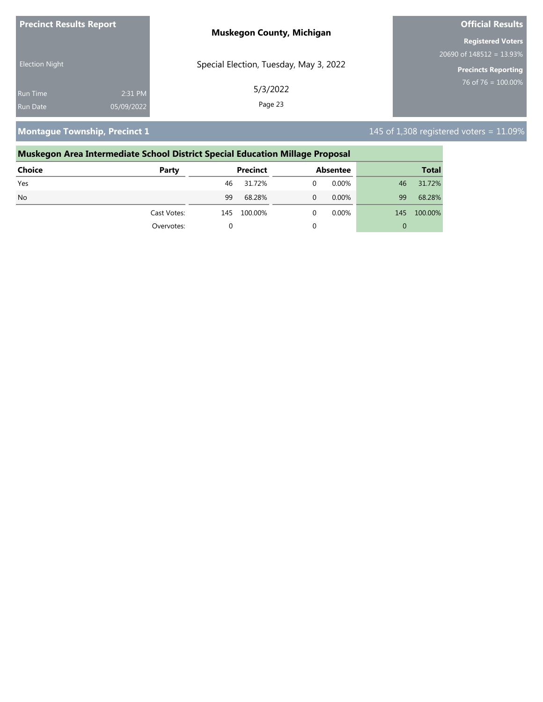| <b>Precinct Results Report</b> |            | <b>Muskegon County, Michigan</b>       | <b>Official Results</b>     |  |
|--------------------------------|------------|----------------------------------------|-----------------------------|--|
|                                |            |                                        | <b>Registered Voters</b>    |  |
| <b>Election Night</b>          |            |                                        | 20690 of $148512 = 13.93\%$ |  |
|                                |            | Special Election, Tuesday, May 3, 2022 | <b>Precincts Reporting</b>  |  |
| Run Time                       | 2:31 PM    | 5/3/2022                               | 76 of 76 = $100.00\%$       |  |
| <b>Run Date</b>                | 05/09/2022 | Page 23                                |                             |  |

**Montague Township, Precinct 1** 145 of 1,308 registered voters = 11.09%

# **Muskegon Area Intermediate School District Special Education Millage Proposal Choice Party Precinct Absentee Total** Yes 46 31.72% 0 0.00% 46 31.72% No 99 68.28% 0 0.00% 99 68.28% Cast Votes: 145 100.00% 0 0.00% 145 100.00% Overvotes: 0 0 0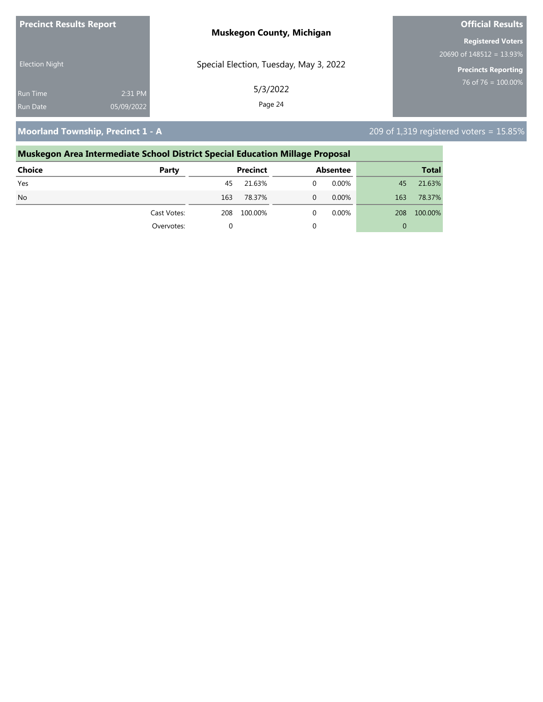| <b>Precinct Results Report</b> | <b>Muskegon County, Michigan</b>       | <b>Official Results</b>                  |  |
|--------------------------------|----------------------------------------|------------------------------------------|--|
|                                |                                        | <b>Registered Voters</b>                 |  |
|                                |                                        | $20690$ of $148\overline{512} = 13.93\%$ |  |
| <b>Election Night</b>          | Special Election, Tuesday, May 3, 2022 | <b>Precincts Reporting</b>               |  |
| 2:31 PM<br><b>Run Time</b>     | 5/3/2022                               | $76$ of 76 = 100.00%                     |  |
| 05/09/2022<br><b>Run Date</b>  | Page 24                                |                                          |  |

**Moorland Township, Precinct 1 - A** 209 of 1,319 registered voters = 15.85%

# **Muskegon Area Intermediate School District Special Education Millage Proposal Choice Party Precinct Absentee Total** Yes 45 21.63% 0 0.00% 45 21.63% No 163 78.37% 0 0.00% 163 78.37% Cast Votes: 208 100.00% 0 0.00% 208 100.00% Overvotes: 0 0 0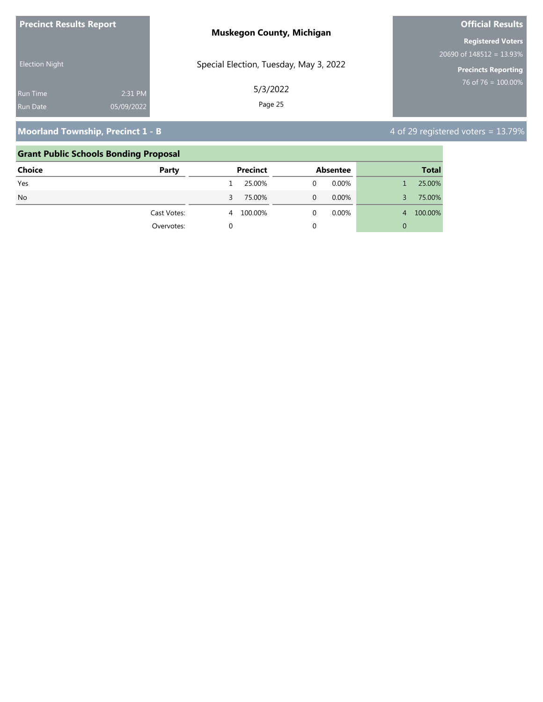| <b>Precinct Results Report</b> |            | <b>Muskegon County, Michigan</b>       | <b>Official Results</b>                  |
|--------------------------------|------------|----------------------------------------|------------------------------------------|
|                                |            |                                        | <b>Registered Voters</b>                 |
|                                |            |                                        | $20690$ of $148\overline{512} = 13.93\%$ |
| <b>Election Night</b>          |            | Special Election, Tuesday, May 3, 2022 | <b>Precincts Reporting</b>               |
| <b>Run Time</b>                | 2:31 PM    | 5/3/2022                               | $76$ of 76 = 100.00%                     |
| <b>Run Date</b>                | 05/09/2022 | Page 25                                |                                          |

# **Moorland Township, Precinct 1 - B** 4 of 29 registered voters = 13.79%

### **Grant Public Schools Bonding Proposal**

| <b>Choice</b> | Party       |    | <b>Precinct</b> |   | Absentee |                | <b>Total</b> |
|---------------|-------------|----|-----------------|---|----------|----------------|--------------|
| Yes           |             |    | 25.00%          | 0 | $0.00\%$ |                | 25.00%       |
| <b>No</b>     |             | 3. | 75.00%          | 0 | $0.00\%$ | 3.             | 75.00%       |
|               | Cast Votes: | 4  | 100.00%         | 0 | $0.00\%$ | $\overline{4}$ | 100.00%      |
|               | Overvotes:  |    |                 | 0 |          | 0              |              |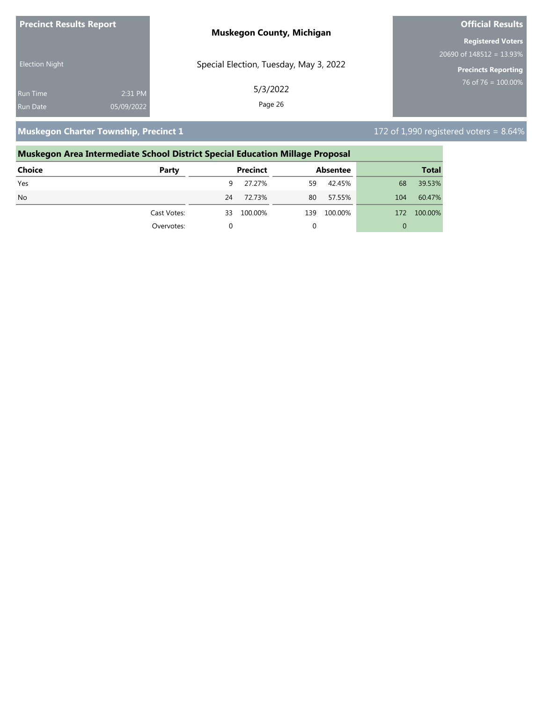| <b>Precinct Results Report</b> |            | <b>Muskegon County, Michigan</b>       | <b>Official Results</b>     |
|--------------------------------|------------|----------------------------------------|-----------------------------|
|                                |            |                                        | <b>Registered Voters</b>    |
|                                |            |                                        | 20690 of $148512 = 13.93\%$ |
| <b>Election Night</b>          |            | Special Election, Tuesday, May 3, 2022 | <b>Precincts Reporting</b>  |
| <b>Run Time</b>                | 2:31 PM    | 5/3/2022                               | $76$ of 76 = 100.00%        |
| Run Date                       | 05/09/2022 | Page 26                                |                             |

**Muskegon Charter Township, Precinct 1** 172 of 1,990 registered voters = 8.64%

# **Muskegon Area Intermediate School District Special Education Millage Proposal Choice Party Precinct Absentee Total** Yes 9 27.27% 59 42.45% 68 39.53% No 24 72.73% 80 57.55% 104 60.47% Cast Votes: 33 100.00% 139 100.00% 172 100.00% Overvotes: 0 0 0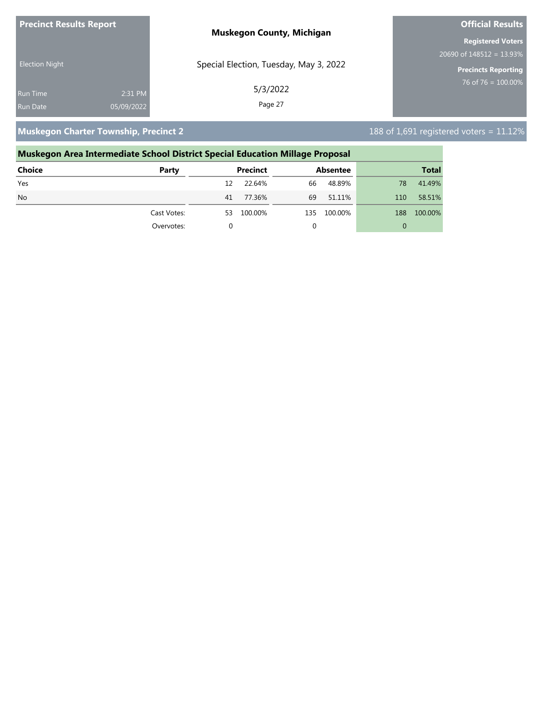| <b>Precinct Results Report</b> |            | <b>Muskegon County, Michigan</b>       | <b>Official Results</b>     |
|--------------------------------|------------|----------------------------------------|-----------------------------|
|                                |            |                                        | <b>Registered Voters</b>    |
|                                |            |                                        | 20690 of $148512 = 13.93\%$ |
| <b>Election Night</b>          |            | Special Election, Tuesday, May 3, 2022 | <b>Precincts Reporting</b>  |
| <b>Run Time</b>                | 2:31 PM    | 5/3/2022                               | $76$ of 76 = 100.00%        |
| <b>Run Date</b>                | 05/09/2022 | Page 27                                |                             |

**Muskegon Charter Township, Precinct 2** 188 of 1,691 registered voters = 11.12%

| Muskegon Area Intermediate School District Special Education Millage Proposal |             |          |                 |     |                 |     |              |
|-------------------------------------------------------------------------------|-------------|----------|-----------------|-----|-----------------|-----|--------------|
| Choice                                                                        | Party       |          | <b>Precinct</b> |     | <b>Absentee</b> |     | <b>Total</b> |
| Yes                                                                           |             | 12       | 22.64%          | 66  | 48.89%          | 78  | 41.49%       |
| N <sub>o</sub>                                                                |             | 41       | 77.36%          | 69  | 51.11%          | 110 | 58.51%       |
|                                                                               | Cast Votes: | 53       | 100.00%         | 135 | 100.00%         | 188 | 100.00%      |
|                                                                               | Overvotes:  | $\Omega$ |                 |     |                 | 0   |              |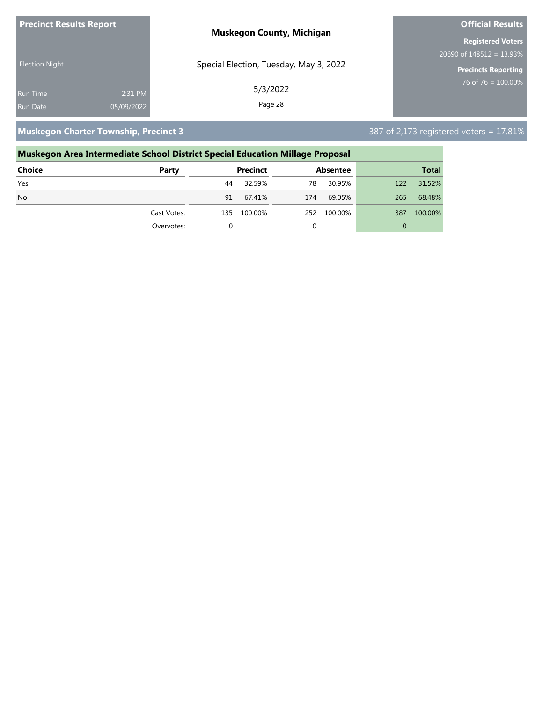| <b>Precinct Results Report</b> |            | <b>Muskegon County, Michigan</b>       | <b>Official Results</b>                  |
|--------------------------------|------------|----------------------------------------|------------------------------------------|
|                                |            |                                        | <b>Registered Voters</b>                 |
|                                |            |                                        | $20690$ of $148\overline{512} = 13.93\%$ |
| <b>Election Night</b>          |            | Special Election, Tuesday, May 3, 2022 | <b>Precincts Reporting</b>               |
| <b>Run Time</b>                | 2:31 PM    | 5/3/2022                               | 76 of 76 = $100.00\%$                    |
| Run Date                       | 05/09/2022 | Page 28                                |                                          |

**Muskegon Charter Township, Precinct 3** 387 of 2,173 registered voters = 17.81%

| Muskegon Area Intermediate School District Special Education Millage Proposal |             |     |                 |     |                 |     |              |
|-------------------------------------------------------------------------------|-------------|-----|-----------------|-----|-----------------|-----|--------------|
| Choice                                                                        | Party       |     | <b>Precinct</b> |     | <b>Absentee</b> |     | <b>Total</b> |
| Yes                                                                           |             | 44  | 32.59%          | 78  | 30.95%          | 122 | 31.52%       |
| N <sub>o</sub>                                                                |             | 91  | 67.41%          | 174 | 69.05%          | 265 | 68.48%       |
|                                                                               | Cast Votes: | 135 | 100.00%         | 252 | 100.00%         | 387 | 100.00%      |
|                                                                               | Overvotes:  | 0   |                 |     |                 | 0   |              |
|                                                                               |             |     |                 |     |                 |     |              |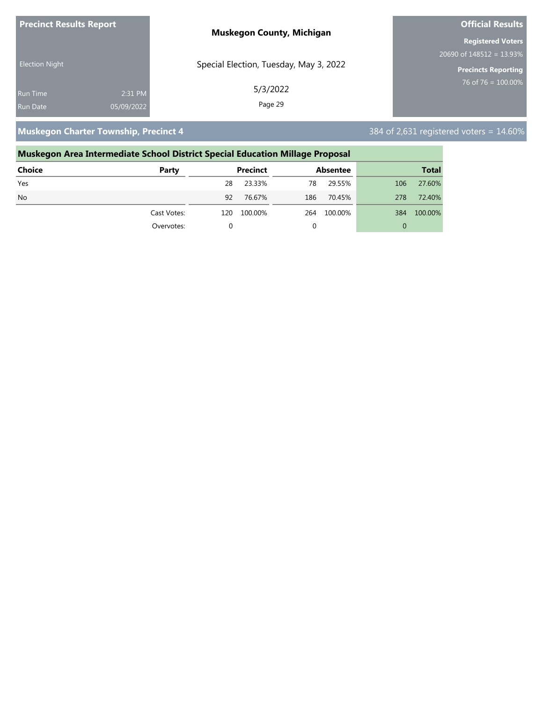| <b>Precinct Results Report</b> |            | <b>Muskegon County, Michigan</b>       | <b>Official Results</b>        |
|--------------------------------|------------|----------------------------------------|--------------------------------|
|                                |            |                                        | <b>Registered Voters</b>       |
|                                |            |                                        | 20690 of $148512 = 13.93\%$    |
| <b>Election Night</b>          |            | Special Election, Tuesday, May 3, 2022 | <b>Precincts Reporting</b>     |
| <b>Run Time</b>                | 2:31 PM    | 5/3/2022                               | $76 \text{ of } 76 = 100.00\%$ |
| Run Date                       | 05/09/2022 | Page 29                                |                                |

**Muskegon Charter Township, Precinct 4** 384 of 2,631 registered voters = 14.60%

# **Muskegon Area Intermediate School District Special Education Millage Proposal Choice Party Precinct Absentee Total** Yes 28 23.33% 78 29.55% 106 27.60% No 92 76.67% 186 70.45% 278 72.40% Cast Votes: 120 100.00% 264 100.00% 384 100.00% Overvotes: 0 0 0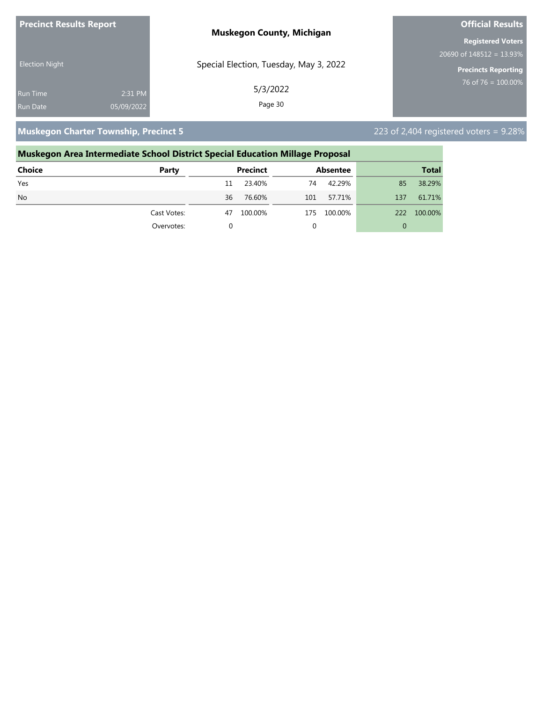| <b>Precinct Results Report</b> |            | <b>Muskegon County, Michigan</b>       | <b>Official Results</b>     |
|--------------------------------|------------|----------------------------------------|-----------------------------|
|                                |            |                                        | <b>Registered Voters</b>    |
|                                |            |                                        | 20690 of $148512 = 13.93\%$ |
| <b>Election Night</b>          |            | Special Election, Tuesday, May 3, 2022 | <b>Precincts Reporting</b>  |
| <b>Run Time</b>                | 2:31 PM    | 5/3/2022                               | 76 of 76 = $100.00\%$       |
| <b>Run Date</b>                | 05/09/2022 | Page 30                                |                             |

**Muskegon Charter Township, Precinct 5** 223 of 2,404 registered voters = 9.28%

# **Muskegon Area Intermediate School District Special Education Millage Proposal Choice Party Precinct Absentee Total** Yes 11 23.40% 74 42.29% 85 38.29% No 36 76.60% 101 57.71% 137 61.71% Cast Votes: 47 100.00% 175 100.00% 222 100.00% Overvotes: 0 0 0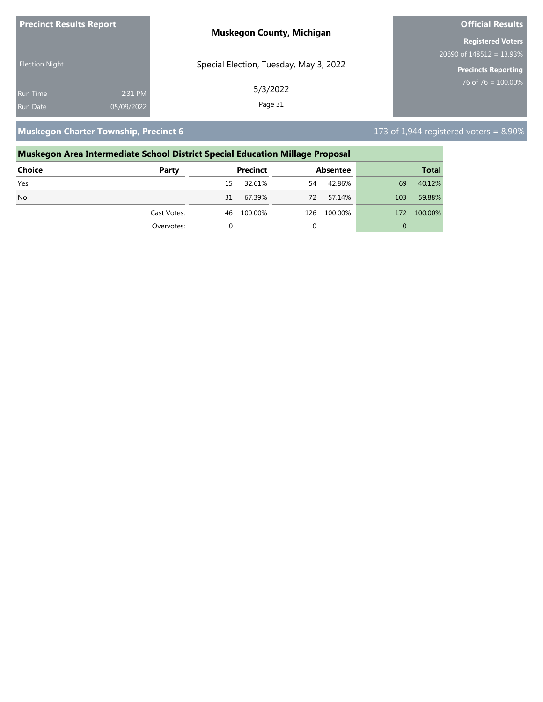| <b>Precinct Results Report</b> |            | <b>Muskegon County, Michigan</b>       | <b>Official Results</b>     |
|--------------------------------|------------|----------------------------------------|-----------------------------|
|                                |            |                                        | <b>Registered Voters</b>    |
|                                |            |                                        | 20690 of $148512 = 13.93\%$ |
| <b>Election Night</b>          |            | Special Election, Tuesday, May 3, 2022 | <b>Precincts Reporting</b>  |
| <b>Run Time</b>                | 2:31 PM    | 5/3/2022                               | 76 of 76 = $100.00\%$       |
| <b>Run Date</b>                | 05/09/2022 | Page 31                                |                             |

**Muskegon Charter Township, Precinct 6** 173 of 1,944 registered voters = 8.90%

## **Muskegon Area Intermediate School District Special Education Millage Proposal Choice Party Precinct Absentee Total** Yes 15 32.61% 54 42.86% 69 40.12% No 31 67.39% 72 57.14% 103 59.88% Cast Votes: 46 100.00% 126 100.00% 172 100.00% Overvotes: 0 0 0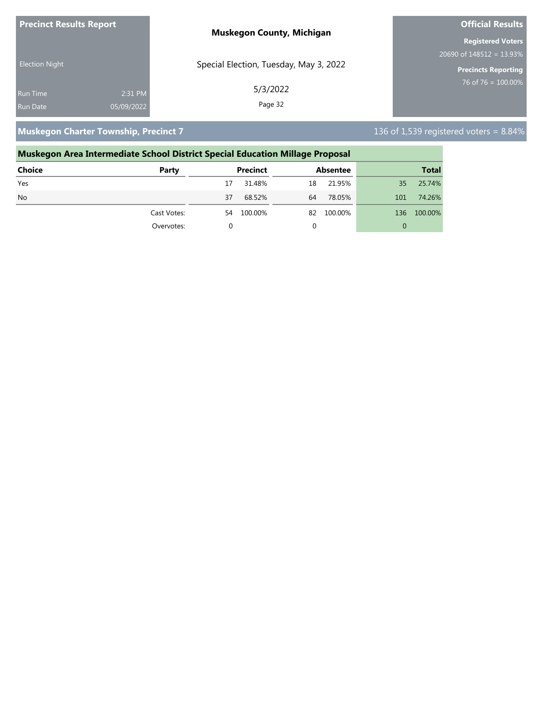| <b>Precinct Results Report</b> |            | <b>Muskegon County, Michigan</b>       | <b>Official Results</b>     |
|--------------------------------|------------|----------------------------------------|-----------------------------|
|                                |            |                                        | <b>Registered Voters</b>    |
|                                |            |                                        | 20690 of $148512 = 13.93\%$ |
| <b>Election Night</b>          |            | Special Election, Tuesday, May 3, 2022 | <b>Precincts Reporting</b>  |
| <b>Run Time</b>                | 2:31 PM    | 5/3/2022                               | $76$ of 76 = 100.00%        |
| Run Date                       | 05/09/2022 | Page 32                                |                             |

**Muskegon Charter Township, Precinct 7** 136 of 1,539 registered voters = 8.84%

# **Muskegon Area Intermediate School District Special Education Millage Proposal Choice Party Precinct Absentee Total** Yes 17 31.48% 18 21.95% 35 25.74% No 37 68.52% 64 78.05% 101 74.26% Cast Votes: 54 100.00% 82 100.00% 136 100.00% Overvotes: 0 0 0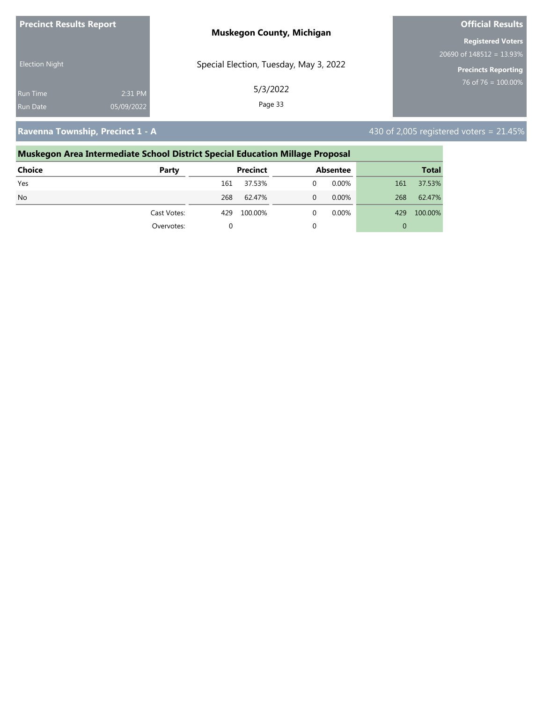| <b>Precinct Results Report</b> |            | <b>Muskegon County, Michigan</b>       | <b>Official Results</b>                  |  |
|--------------------------------|------------|----------------------------------------|------------------------------------------|--|
|                                |            |                                        | <b>Registered Voters</b>                 |  |
|                                |            |                                        | $20690$ of $148\overline{512} = 13.93\%$ |  |
| <b>Election Night</b>          |            | Special Election, Tuesday, May 3, 2022 | <b>Precincts Reporting</b>               |  |
| <b>Run Time</b>                | 2:31 PM    | 5/3/2022                               | 76 of 76 = $100.00\%$                    |  |
| <b>Run Date</b>                | 05/09/2022 | Page 33                                |                                          |  |

**Ravenna Township, Precinct 1 - A**  $\blacksquare$  **Ravenna Township, Precinct 1 - A**  $\blacksquare$  **430** of 2,005 registered voters = 21.45%

# **Muskegon Area Intermediate School District Special Education Millage Proposal Choice Party Precinct Absentee Total** Yes 161 37.53% 0 0.00% 161 37.53% No 268 62.47% 0 0.00% 268 62.47% Cast Votes: 429 100.00% 0 0.00% 429 100.00% Overvotes: 0 0 0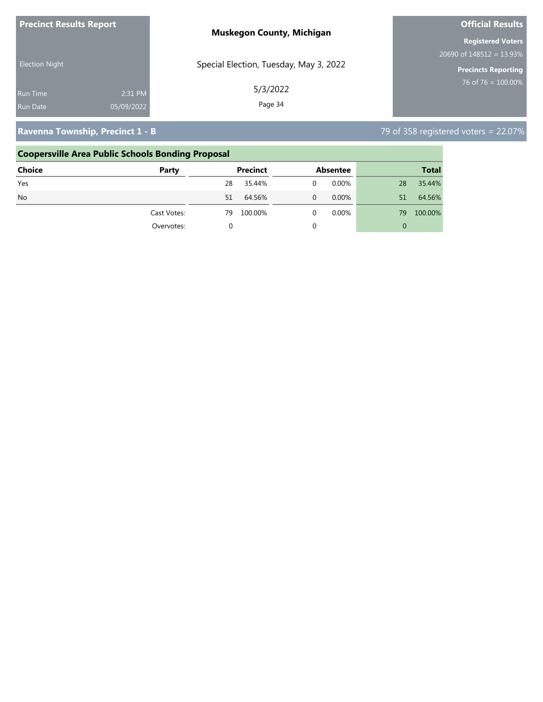| <b>Precinct Results Report</b> |            | <b>Muskegon County, Michigan</b>       | <b>Official Results</b>                  |
|--------------------------------|------------|----------------------------------------|------------------------------------------|
|                                |            |                                        | <b>Registered Voters</b>                 |
| <b>Election Night</b>          |            | Special Election, Tuesday, May 3, 2022 | $20690$ of $148\overline{512} = 13.93\%$ |
|                                |            |                                        | <b>Precincts Reporting</b>               |
| <b>Run Time</b>                | 2:31 PM    | 5/3/2022                               | 76 of 76 = $100.00\%$                    |
| <b>Run Date</b>                | 05/09/2022 | Page 34                                |                                          |
|                                |            |                                        |                                          |

# **Ravenna Township, Precinct 1 - B** 79 of 358 registered voters = 22.07%

|               | <b>Coopersville Area Public Schools Bonding Proposal</b> |                 |                         |               |
|---------------|----------------------------------------------------------|-----------------|-------------------------|---------------|
| <b>Choice</b> | Party                                                    | <b>Precinct</b> | <b>Absentee</b>         | <b>Total</b>  |
| Yes           |                                                          | 35.44%<br>28    | $0.00\%$<br>$\mathbf 0$ | 35.44%<br>28  |
| <b>No</b>     |                                                          | 64.56%<br>51    | $0.00\%$<br>$\Omega$    | 64.56%<br>51  |
|               | Cast Votes:                                              | 100.00%<br>79   | $0.00\%$<br>$\Omega$    | 100.00%<br>79 |
|               | Overvotes:                                               |                 | 0                       | 0             |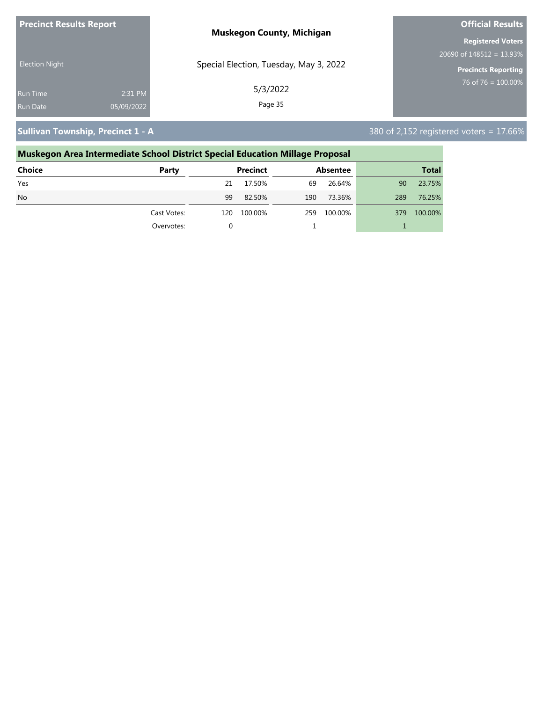| <b>Precinct Results Report</b> |            | <b>Muskegon County, Michigan</b>       | <b>Official Results</b>     |  |
|--------------------------------|------------|----------------------------------------|-----------------------------|--|
|                                |            |                                        | <b>Registered Voters</b>    |  |
|                                |            |                                        | 20690 of $148512 = 13.93\%$ |  |
| <b>Election Night</b>          |            | Special Election, Tuesday, May 3, 2022 | Precincts Reporting         |  |
| <b>Run Time</b>                | 2:31 PM    | 5/3/2022                               | 76 of 76 = $100.00\%$       |  |
| Run Date                       | 05/09/2022 | Page 35                                |                             |  |

**Sullivan Township, Precinct 1 - A** 380 of 2,152 registered voters = 17.66%

### **Muskegon Area Intermediate School District Special Education Millage Proposal Choice Party Precinct Absentee Total** Yes 21 17.50% 69 26.64% 90 23.75% No 99 82.50% 190 73.36% 289 76.25% Cast Votes: 120 100.00% 259 100.00% 379 100.00% Overvotes: 0 1 1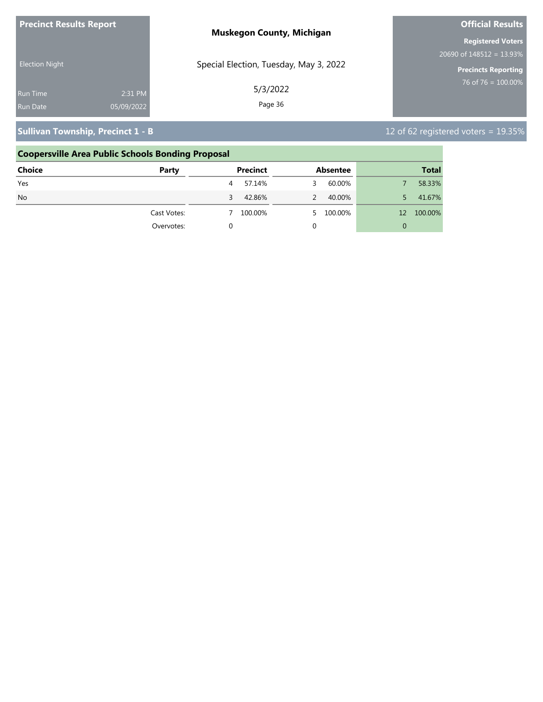| <b>Precinct Results Report</b>     |                       | <b>Muskegon County, Michigan</b>       | <b>Official Results</b>                                 |
|------------------------------------|-----------------------|----------------------------------------|---------------------------------------------------------|
|                                    |                       |                                        | <b>Registered Voters</b><br>20690 of $148512 = 13.93\%$ |
| <b>Election Night</b>              |                       | Special Election, Tuesday, May 3, 2022 | Precincts Reporting                                     |
| <b>Run Time</b><br><b>Run Date</b> | 2:31 PM<br>05/09/2022 | 5/3/2022<br>Page 36                    | 76 of 76 = $100.00\%$                                   |
|                                    |                       |                                        |                                                         |

# **Sullivan Township, Precinct 1 - B** 12 of 62 registered voters = 19.35%

|               | <b>Coopersville Area Public Schools Bonding Proposal</b> |                 |                 |               |
|---------------|----------------------------------------------------------|-----------------|-----------------|---------------|
| <b>Choice</b> | Party                                                    | <b>Precinct</b> | <b>Absentee</b> | <b>Total</b>  |
| Yes           |                                                          | 57.14%<br>4     | 60.00%          | 58.33%        |
| <b>No</b>     |                                                          | 42.86%<br>3     | 40.00%          | 41.67%        |
|               | Cast Votes:                                              | 100.00%         | 100.00%         | 100.00%<br>12 |
|               | Overvotes:                                               |                 | 0               | 0             |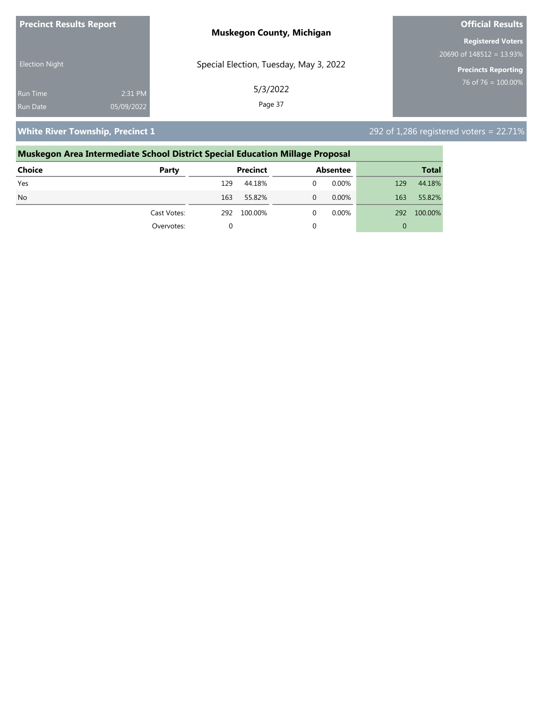| <b>Precinct Results Report</b> |            | <b>Muskegon County, Michigan</b>       | <b>Official Results</b>    |
|--------------------------------|------------|----------------------------------------|----------------------------|
|                                |            |                                        | <b>Registered Voters</b>   |
| <b>Election Night</b>          |            |                                        | $20690$ of 148512 = 13.93% |
|                                |            | Special Election, Tuesday, May 3, 2022 | <b>Precincts Reporting</b> |
| <b>Run Time</b>                | 2:31 PM    | 5/3/2022                               | 76 of 76 = $100.00\%$      |
| <b>Run Date</b>                | 05/09/2022 | Page 37                                |                            |

**White River Township, Precinct 1** 292 of 1,286 registered voters = 22.71%

### **Muskegon Area Intermediate School District Special Education Millage Proposal Choice Party Precinct Absentee Total** Yes 129 44.18% 0 0.00% 129 44.18% No 163 55.82% 163 55.82% 163 55.82% 163 55.82% 163 55.82% 163 55.82% Cast Votes: 292 100.00% 0 0.00% 292 100.00% Overvotes: 0 0 0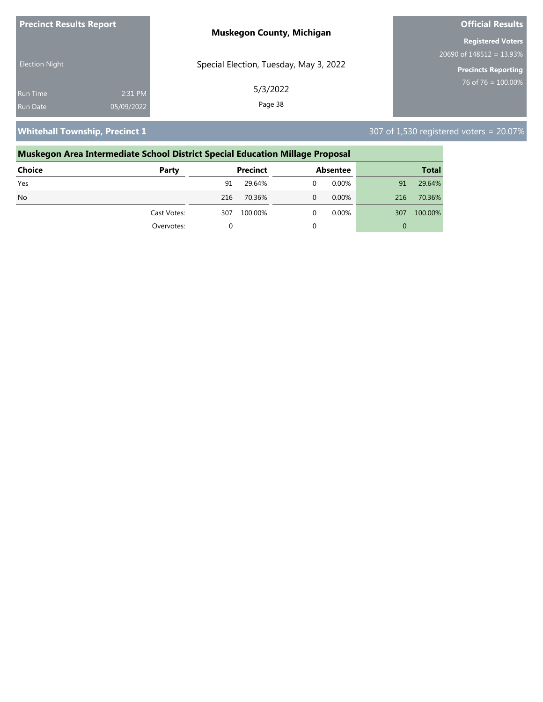| <b>Precinct Results Report</b> |            | <b>Muskegon County, Michigan</b>       | <b>Official Results</b>     |
|--------------------------------|------------|----------------------------------------|-----------------------------|
|                                |            |                                        | <b>Registered Voters</b>    |
|                                |            |                                        | 20690 of $148512 = 13.93\%$ |
| <b>Election Night</b>          |            | Special Election, Tuesday, May 3, 2022 | <b>Precincts Reporting</b>  |
| Run Time                       | 2:31 PM    | 5/3/2022                               | $176$ of 76 = 100.00%       |
| Run Date                       | 05/09/2022 | Page 38                                |                             |

**Whitehall Township, Precinct 1** 307 of 1,530 registered voters = 20.07%

### **Muskegon Area Intermediate School District Special Education Millage Proposal Choice Party Precinct Absentee Total** Yes 91 29.64% 0 0.00% 91 29.64% No 216 70.36% 0 0.00% 216 70.36% Cast Votes: 307 100.00% 0 0.00% 307 100.00% Overvotes: 0 0 0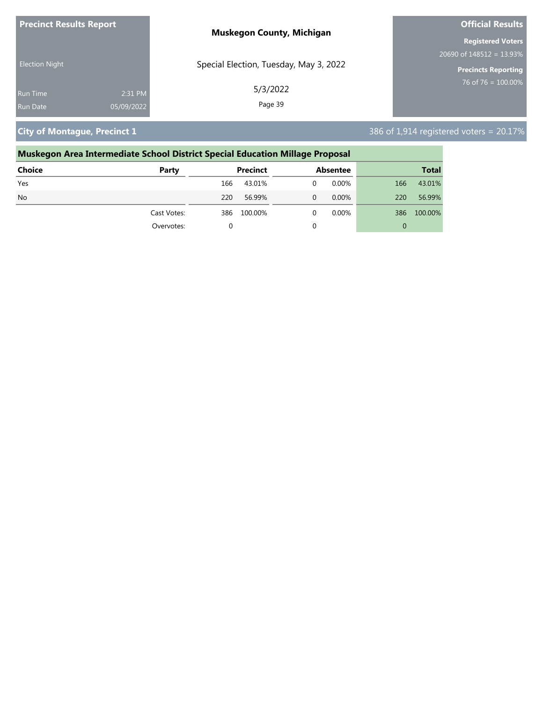| <b>Precinct Results Report</b> |            | <b>Muskegon County, Michigan</b>       | <b>Official Results</b>     |
|--------------------------------|------------|----------------------------------------|-----------------------------|
|                                |            |                                        | <b>Registered Voters</b>    |
|                                |            |                                        | 20690 of $148512 = 13.93\%$ |
| <b>Election Night</b>          |            | Special Election, Tuesday, May 3, 2022 | Precincts Reporting         |
| <b>Run Time</b>                | 2:31 PM    | 5/3/2022                               | 76 of 76 = $100.00\%$       |
| <b>Run Date</b>                | 05/09/2022 | Page 39                                |                             |

**City of Montague, Precinct 1 City of Montague, Precinct 1** 386 of 1,914 registered voters = 20.17%

| Muskegon Area Intermediate School District Special Education Millage Proposal |             |     |                 |   |                 |     |              |
|-------------------------------------------------------------------------------|-------------|-----|-----------------|---|-----------------|-----|--------------|
| Choice                                                                        | Party       |     | <b>Precinct</b> |   | <b>Absentee</b> |     | <b>Total</b> |
| Yes                                                                           |             | 166 | 43.01%          | 0 | 0.00%           | 166 | 43.01%       |
| N <sub>o</sub>                                                                |             | 220 | 56.99%          | 0 | $0.00\%$        | 220 | 56.99%       |
|                                                                               | Cast Votes: | 386 | 100.00%         | 0 | 0.00%           | 386 | 100.00%      |
|                                                                               | Overvotes:  |     |                 |   |                 | 0   |              |
|                                                                               |             |     |                 |   |                 |     |              |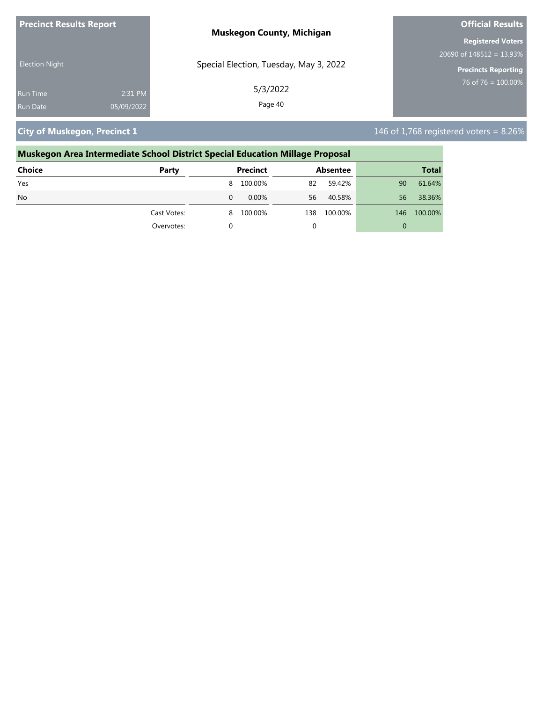| <b>Precinct Results Report</b> |            | <b>Muskegon County, Michigan</b>       | <b>Official Results</b>     |
|--------------------------------|------------|----------------------------------------|-----------------------------|
|                                |            |                                        | <b>Registered Voters</b>    |
|                                |            |                                        | 20690 of $148512 = 13.93\%$ |
| <b>Election Night</b>          |            | Special Election, Tuesday, May 3, 2022 | Precincts Reporting         |
| <b>Run Time</b>                | 2:31 PM    | 5/3/2022                               | 76 of 76 = $100.00\%$       |
| <b>Run Date</b>                | 05/09/2022 | Page 40                                |                             |

**City of Muskegon, Precinct 1** 146 of 1,768 registered voters = 8.26%

### **Muskegon Area Intermediate School District Special Education Millage Proposal**

| <b>Choice</b> | Party       |   | <b>Precinct</b> |     | Absentee |     | <b>Total</b> |
|---------------|-------------|---|-----------------|-----|----------|-----|--------------|
| Yes           |             |   | 8 100.00%       | 82  | 59.42%   | 90  | 61.64%       |
| <b>No</b>     |             | 0 | $0.00\%$        | 56  | 40.58%   | 56  | 38.36%       |
|               | Cast Votes: | 8 | 100.00%         | 138 | 100.00%  | 146 | 100.00%      |
|               | Overvotes:  |   |                 |     |          | 0   |              |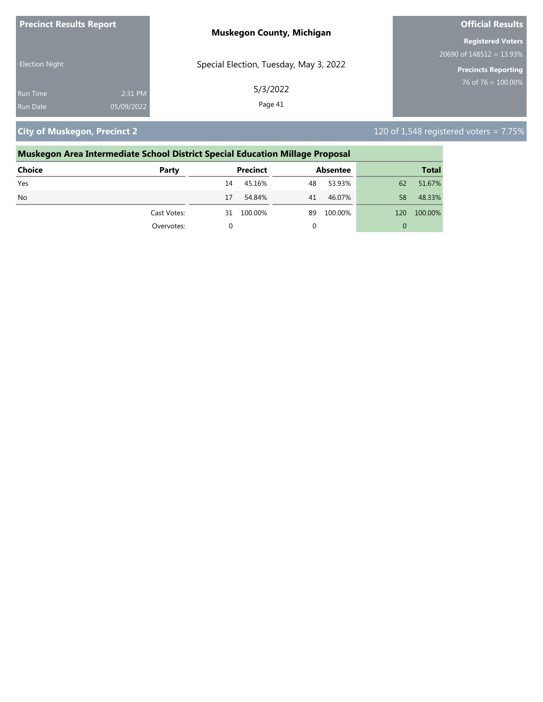| <b>Precinct Results Report</b> |            | <b>Muskegon County, Michigan</b>       | <b>Official Results</b>     |
|--------------------------------|------------|----------------------------------------|-----------------------------|
|                                |            |                                        | <b>Registered Voters</b>    |
|                                |            |                                        | 20690 of $148512 = 13.93\%$ |
| <b>Election Night</b>          |            | Special Election, Tuesday, May 3, 2022 | <b>Precincts Reporting</b>  |
| <b>Run Time</b>                | 2:31 PM    | 5/3/2022                               | 76 of 76 = $100.00\%$       |
| <b>Run Date</b>                | 05/09/2022 | Page 41                                |                             |

**City of Muskegon, Precinct 2** 120 of 1,548 registered voters = 7.75%

| Muskegon Area Intermediate School District Special Education Millage Proposal |             |    |                 |    |                 |     |              |
|-------------------------------------------------------------------------------|-------------|----|-----------------|----|-----------------|-----|--------------|
| Choice                                                                        | Party       |    | <b>Precinct</b> |    | <b>Absentee</b> |     | <b>Total</b> |
| Yes                                                                           |             | 14 | 45.16%          | 48 | 53.93%          | 62  | 51.67%       |
| N <sub>o</sub>                                                                |             | 17 | 54.84%          | 41 | 46.07%          | 58  | 48.33%       |
|                                                                               | Cast Votes: | 31 | 100.00%         | 89 | 100.00%         | 120 | 100.00%      |
|                                                                               | Overvotes:  | 0  |                 |    |                 | 0   |              |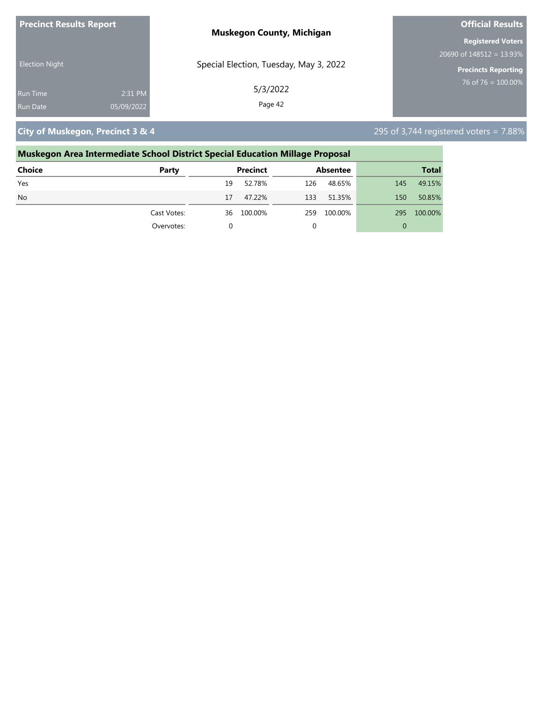| <b>Precinct Results Report</b> |            | <b>Muskegon County, Michigan</b>       | <b>Official Results</b>     |
|--------------------------------|------------|----------------------------------------|-----------------------------|
|                                |            |                                        | <b>Registered Voters</b>    |
|                                |            |                                        | 20690 of $148512 = 13.93\%$ |
| <b>Election Night</b>          |            | Special Election, Tuesday, May 3, 2022 | <b>Precincts Reporting</b>  |
| <b>Run Time</b>                | 2:31 PM    | 5/3/2022                               | 76 of 76 = $100.00\%$       |
| <b>Run Date</b>                | 05/09/2022 | Page 42                                |                             |

**City of Muskegon, Precinct 3 & 4** 295 of 3,744 registered voters = 7.88%

### **Muskegon Area Intermediate School District Special Education Millage Proposal**

| <b>Choice</b> | Party       | <b>Precinct</b> | Absentee       | <b>Total</b>   |
|---------------|-------------|-----------------|----------------|----------------|
| Yes           |             | 52.78%<br>19    | 126<br>48.65%  | 49.15%<br>145  |
| <b>No</b>     |             | 47.22%<br>17    | 133<br>51.35%  | 50.85%<br>150  |
|               | Cast Votes: | 100.00%<br>36   | 100.00%<br>259 | 100.00%<br>295 |
|               | Overvotes:  | 0               |                | 0              |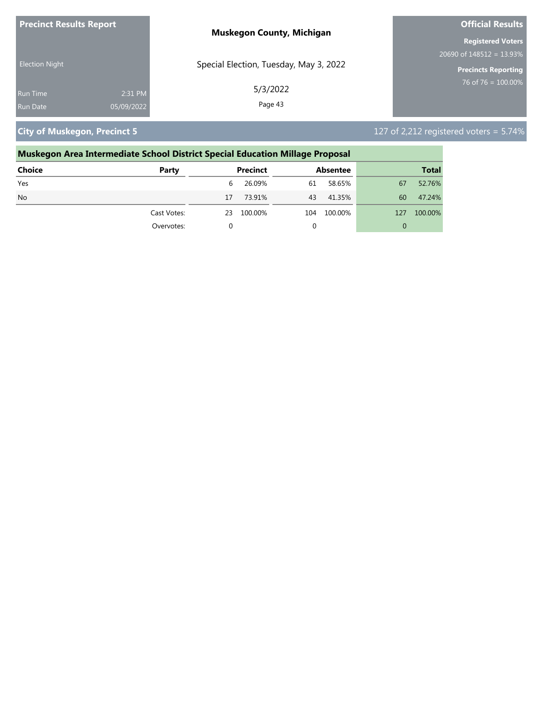| <b>Precinct Results Report</b> |            | <b>Muskegon County, Michigan</b>       | <b>Official Results</b>     |
|--------------------------------|------------|----------------------------------------|-----------------------------|
|                                |            |                                        | <b>Registered Voters</b>    |
|                                |            |                                        | 20690 of $148512 = 13.93\%$ |
| <b>Election Night</b>          |            | Special Election, Tuesday, May 3, 2022 | Precincts Reporting         |
| Run Time                       | 2:31 PM    | 5/3/2022                               | 76 of 76 = $100.00\%$       |
| <b>Run Date</b>                | 05/09/2022 | Page 43                                |                             |

**City of Muskegon, Precinct 5** 127 of 2,212 registered voters = 5.74%

### **Muskegon Area Intermediate School District Special Education Millage Proposal Choice Party Precinct Absentee Total** Yes 6 26.09% 61 58.65% 67 52.76% No 17 73.91% 43 41.35% 60 47.24% Cast Votes: 23 100.00% 104 100.00% 127 100.00% Overvotes: 0 0 0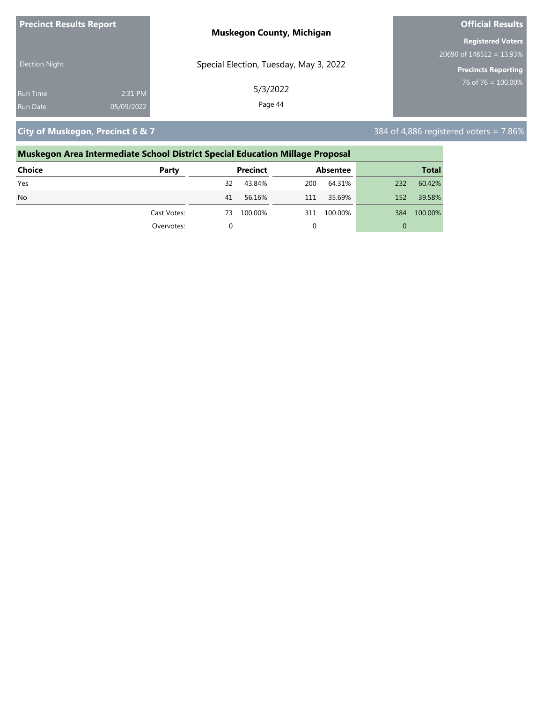| <b>Precinct Results Report</b> |            | <b>Muskegon County, Michigan</b>       | <b>Official Results</b>     |
|--------------------------------|------------|----------------------------------------|-----------------------------|
|                                |            |                                        | <b>Registered Voters</b>    |
|                                |            |                                        | 20690 of $148512 = 13.93\%$ |
| <b>Election Night</b>          |            | Special Election, Tuesday, May 3, 2022 | Precincts Reporting         |
| <b>Run Time</b>                | 2:31 PM    | 5/3/2022                               | 76 of 76 = $100.00\%$       |
| <b>Run Date</b>                | 05/09/2022 | Page 44                                |                             |

**City of Muskegon, Precinct 6 & 7** 384 of 4,886 registered voters = 7.86%

## **Muskegon Area Intermediate School District Special Education Millage Proposal**

| <b>Choice</b> | Party       | <b>Precinct</b> | Absentee       | <b>Total</b>   |
|---------------|-------------|-----------------|----------------|----------------|
| Yes           |             | 43.84%<br>32    | 64.31%<br>200  | 60.42%<br>232  |
| <b>No</b>     |             | 56.16%<br>41    | 35.69%<br>111  | 39.58%<br>152  |
|               | Cast Votes: | 100.00%<br>73   | 100.00%<br>311 | 100.00%<br>384 |
|               | Overvotes:  | 0               |                | 0              |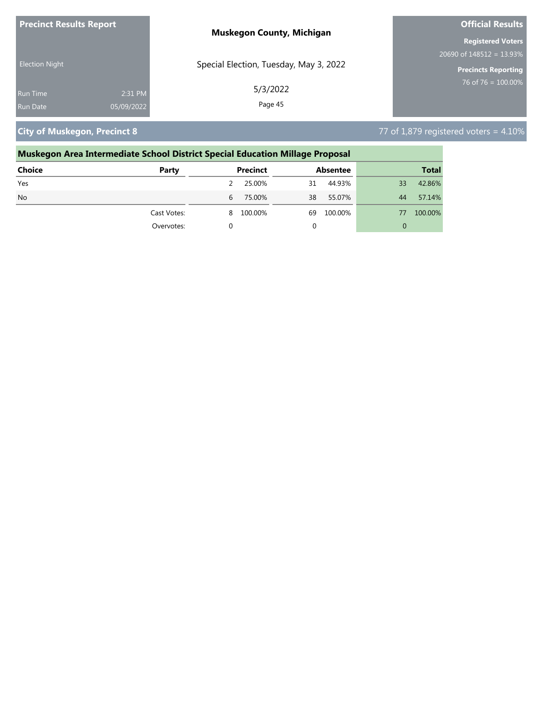| <b>Precinct Results Report</b> |            | <b>Muskegon County, Michigan</b>       | <b>Official Results</b>     |  |
|--------------------------------|------------|----------------------------------------|-----------------------------|--|
|                                |            |                                        | <b>Registered Voters</b>    |  |
|                                |            |                                        | 20690 of $148512 = 13.93\%$ |  |
| <b>Election Night</b>          |            | Special Election, Tuesday, May 3, 2022 | <b>Precincts Reporting</b>  |  |
| <b>Run Time</b>                | 2:31 PM    | 5/3/2022                               | 76 of 76 = $100.00\%$       |  |
| <b>Run Date</b>                | 05/09/2022 | Page 45                                |                             |  |

**City of Muskegon, Precinct 8** 77 of 1,879 registered voters = 4.10%

# **Muskegon Area Intermediate School District Special Education Millage Proposal Choice Party Precinct Absentee Total**

| Yes       |             |   | 25.00%    | 31 | 44.93%  | 33 | 42.86%  |
|-----------|-------------|---|-----------|----|---------|----|---------|
| <b>No</b> |             | b | 75.00%    | 38 | 55.07%  | 44 | 57.14%  |
|           | Cast Votes: |   | 8 100.00% | 69 | 100.00% | 77 | 100.00% |
|           | Overvotes:  |   |           |    |         |    |         |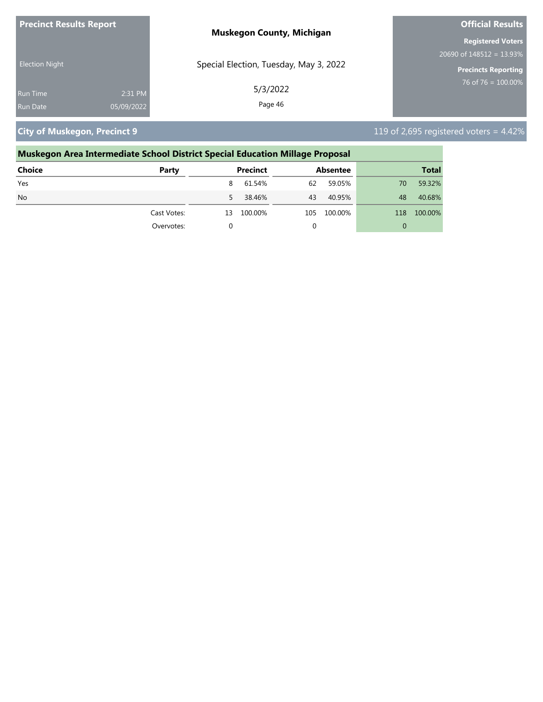| <b>Precinct Results Report</b> | <b>Muskegon County, Michigan</b>       | <b>Official Results</b>     |  |
|--------------------------------|----------------------------------------|-----------------------------|--|
|                                |                                        | <b>Registered Voters</b>    |  |
|                                |                                        | 20690 of $148512 = 13.93\%$ |  |
| <b>Election Night</b>          | Special Election, Tuesday, May 3, 2022 | <b>Precincts Reporting</b>  |  |
| <b>Run Time</b>                | 5/3/2022<br>2:31 PM                    | $76$ of 76 = 100.00%        |  |
| 05/09/2022<br><b>Run Date</b>  | Page 46                                |                             |  |

**City of Muskegon, Precinct 9** 119 of 2,695 registered voters = 4.42%

### **Muskegon Area Intermediate School District Special Education Millage Proposal Choice Party Precinct Absentee Total**

| --------  | - -- -      |    | - - - - - - - - - |     |         |     | _____   |
|-----------|-------------|----|-------------------|-----|---------|-----|---------|
| Yes       |             | 8  | 61.54%            | 62  | 59.05%  | 70  | 59.32%  |
| <b>No</b> |             | 5  | 38.46%            | 43  | 40.95%  | 48  | 40.68%  |
|           | Cast Votes: | 13 | 100.00%           | 105 | 100.00% | 118 | 100.00% |
|           | Overvotes:  |    |                   |     |         |     |         |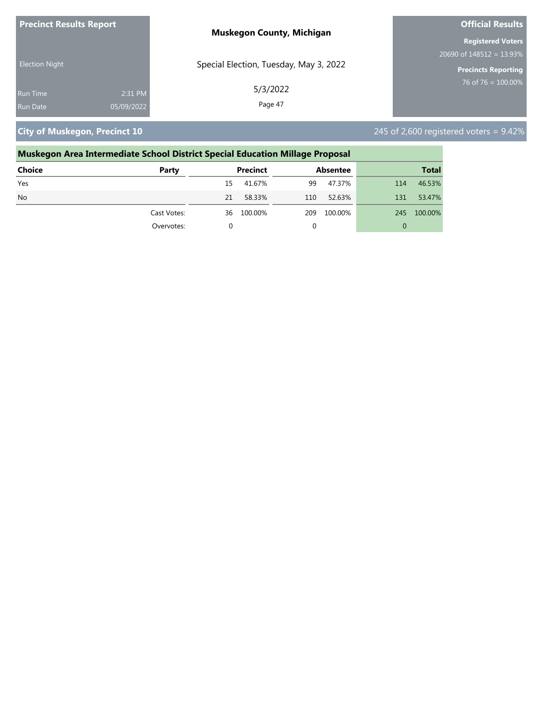| <b>Precinct Results Report</b> |            | <b>Muskegon County, Michigan</b>       | <b>Official Results</b>     |  |
|--------------------------------|------------|----------------------------------------|-----------------------------|--|
|                                |            |                                        | <b>Registered Voters</b>    |  |
|                                |            |                                        | 20690 of $148512 = 13.93\%$ |  |
| <b>Election Night</b>          |            | Special Election, Tuesday, May 3, 2022 | <b>Precincts Reporting</b>  |  |
| <b>Run Time</b>                | 2:31 PM    | 5/3/2022                               | 76 of 76 = $100.00\%$       |  |
| <b>Run Date</b>                | 05/09/2022 | Page 47                                |                             |  |

**City of Muskegon, Precinct 10** 245 of 2,600 registered voters = 9.42%

### **Muskegon Area Intermediate School District Special Education Millage Proposal Choice Party Precinct Absentee Total** Yes 15 41.67% 99 47.37% 114 46.53% No 21 58.33% 110 52.63% 131 53.47% Cast Votes: 36 100.00% 209 100.00% 245 100.00% Overvotes: 0 0 0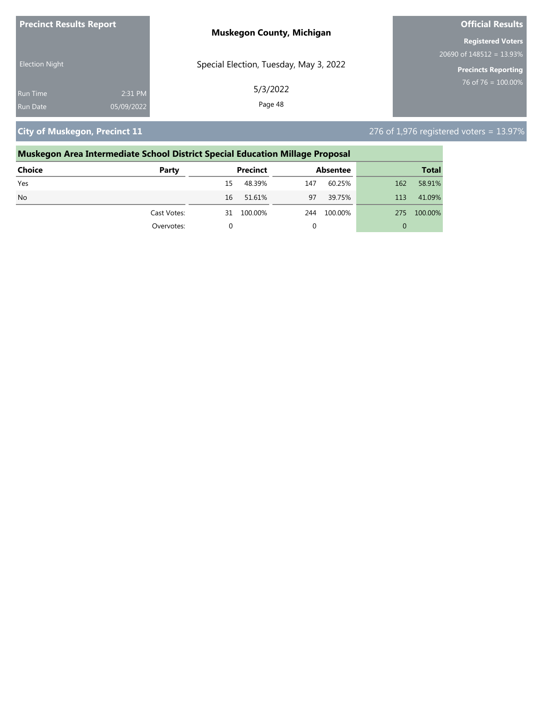| <b>Precinct Results Report</b> |            | <b>Muskegon County, Michigan</b>       | <b>Official Results</b>     |  |
|--------------------------------|------------|----------------------------------------|-----------------------------|--|
|                                |            |                                        | <b>Registered Voters</b>    |  |
|                                |            |                                        | 20690 of $148512 = 13.93\%$ |  |
| <b>Election Night</b>          |            | Special Election, Tuesday, May 3, 2022 | Precincts Reporting         |  |
| <b>Run Time</b>                | 2:31 PM    | 5/3/2022                               | 76 of 76 = $100.00\%$       |  |
| <b>Run Date</b>                | 05/09/2022 | Page 48                                |                             |  |

**City of Muskegon, Precinct 11** 276 of 1,976 registered voters = 13.97%

| Muskegon Area Intermediate School District Special Education Millage Proposal |             |                 |         |                 |         |              |         |  |
|-------------------------------------------------------------------------------|-------------|-----------------|---------|-----------------|---------|--------------|---------|--|
| Choice                                                                        | Party       | <b>Precinct</b> |         | <b>Absentee</b> |         | <b>Total</b> |         |  |
| Yes                                                                           |             | 15              | 48.39%  | 147             | 60.25%  | 162          | 58.91%  |  |
| N <sub>o</sub>                                                                |             | 16              | 51.61%  | 97              | 39.75%  | 113          | 41.09%  |  |
|                                                                               | Cast Votes: | 31              | 100.00% | 244             | 100.00% | 275          | 100.00% |  |
|                                                                               | Overvotes:  | $\Omega$        |         |                 |         | 0            |         |  |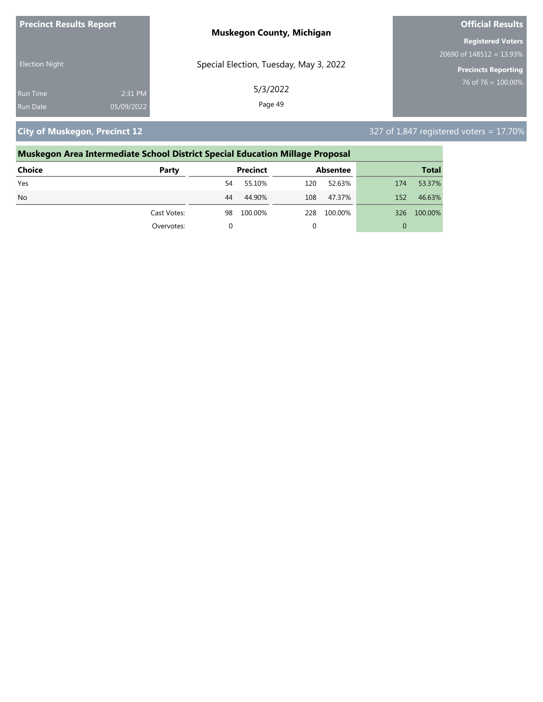| <b>Precinct Results Report</b> |            | <b>Muskegon County, Michigan</b>       | <b>Official Results</b>     |  |
|--------------------------------|------------|----------------------------------------|-----------------------------|--|
|                                |            |                                        | <b>Registered Voters</b>    |  |
|                                |            |                                        | 20690 of $148512 = 13.93\%$ |  |
| <b>Election Night</b>          |            | Special Election, Tuesday, May 3, 2022 | Precincts Reporting         |  |
| <b>Run Time</b>                | 2:31 PM    | 5/3/2022                               | 76 of 76 = $100.00\%$       |  |
| <b>Run Date</b>                | 05/09/2022 | Page 49                                |                             |  |

**City of Muskegon, Precinct 12** 327 of 1,847 registered voters = 17.70%

# **Muskegon Area Intermediate School District Special Education Millage Proposal**

| Choice    | Party       | <b>Precinct</b> | Absentee       | <b>Total</b>          |
|-----------|-------------|-----------------|----------------|-----------------------|
| Yes       |             | 55.10%<br>54    | 52.63%<br>120  | 53.37%<br>174         |
| <b>No</b> |             | 44.90%<br>44    | 108<br>47.37%  | 46.63%<br>152         |
|           | Cast Votes: | 100.00%<br>98   | 228<br>100.00% | 100.00%<br><b>326</b> |
|           | Overvotes:  |                 |                | 0                     |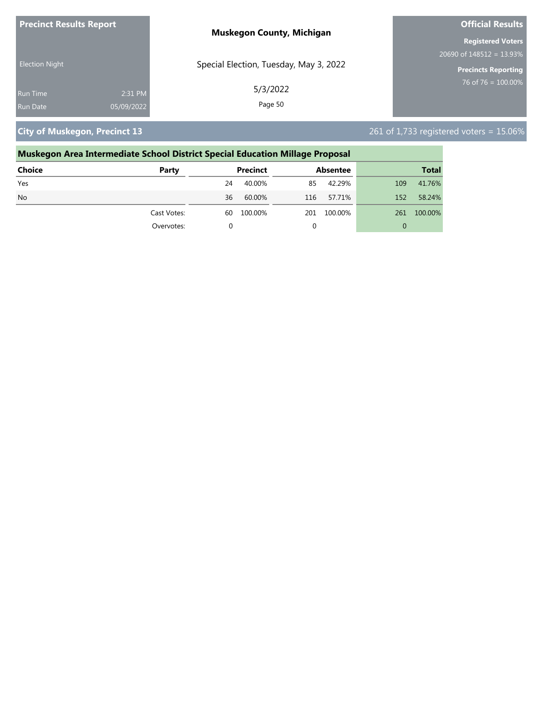| <b>Precinct Results Report</b> |            | <b>Muskegon County, Michigan</b>       | <b>Official Results</b>     |  |
|--------------------------------|------------|----------------------------------------|-----------------------------|--|
|                                |            |                                        | <b>Registered Voters</b>    |  |
|                                |            |                                        | 20690 of $148512 = 13.93\%$ |  |
| <b>Election Night</b>          |            | Special Election, Tuesday, May 3, 2022 | Precincts Reporting         |  |
| <b>Run Time</b>                | 2:31 PM    | 5/3/2022                               | 76 of 76 = $100.00\%$       |  |
| <b>Run Date</b>                | 05/09/2022 | Page 50                                |                             |  |

**City of Muskegon, Precinct 13** 261 of 1,733 registered voters = 15.06%

## **Muskegon Area Intermediate School District Special Education Millage Proposal Choice Party Precinct Absentee Total** Yes 24 40.00% 85 42.29% 109 41.76%

| No |             | 36 | 60.00%  | 116 | 57.71%  | 152 | 58.24%  |
|----|-------------|----|---------|-----|---------|-----|---------|
|    | Cast Votes: | 60 | 100.00% | 201 | 100.00% | 261 | 100.00% |
|    | Overvotes:  |    |         |     |         |     |         |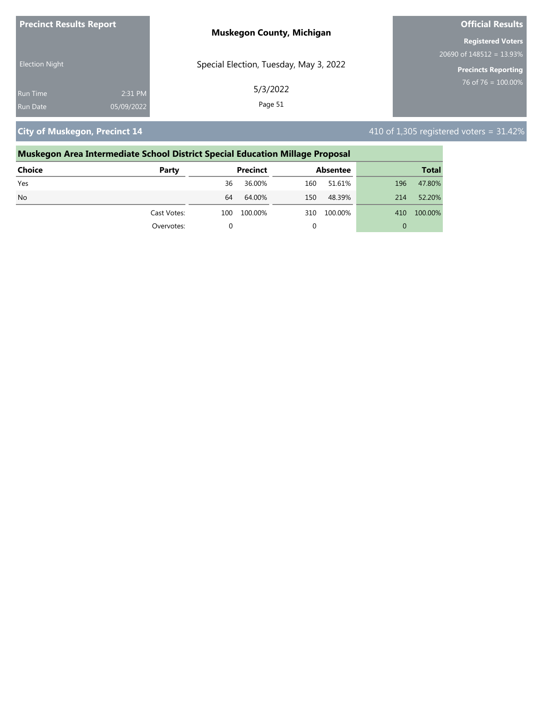| <b>Precinct Results Report</b> |            | <b>Muskegon County, Michigan</b>       | <b>Official Results</b>     |  |  |
|--------------------------------|------------|----------------------------------------|-----------------------------|--|--|
|                                |            |                                        | <b>Registered Voters</b>    |  |  |
|                                |            |                                        | 20690 of $148512 = 13.93\%$ |  |  |
| <b>Election Night</b>          |            | Special Election, Tuesday, May 3, 2022 | <b>Precincts Reporting</b>  |  |  |
| <b>Run Time</b>                | 2:31 PM    | 5/3/2022                               | 76 of 76 = $100.00\%$       |  |  |
| <b>Run Date</b>                | 05/09/2022 | Page 51                                |                             |  |  |

**City of Muskegon, Precinct 14** 410 of 1,305 registered voters = 31.42%

### **Muskegon Area Intermediate School District Special Education Millage Proposal Choice Party Precinct Absentee Total** Yes 36 36.00% 160 51.61% 196 47.80% No 64 64.00% 150 48.39% 214 52.20% Cast Votes: 100 100.00% 310 100.00% 410 100.00% Overvotes: 0 0 0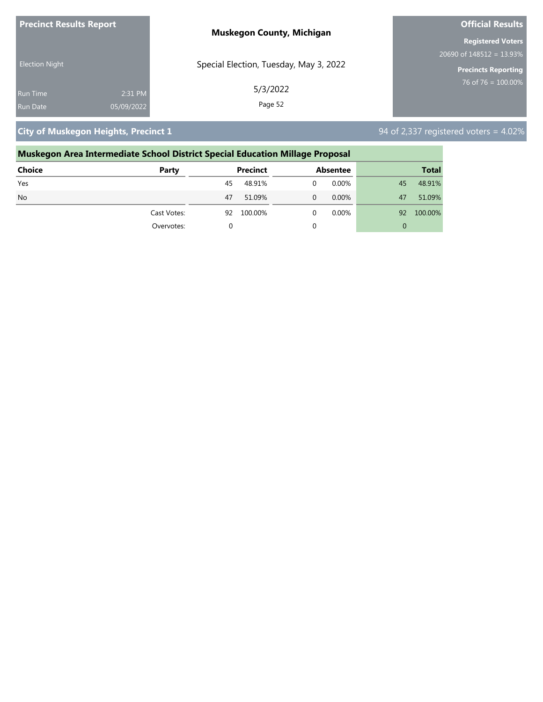| <b>Precinct Results Report</b> |            | <b>Muskegon County, Michigan</b>       | <b>Official Results</b>       |  |
|--------------------------------|------------|----------------------------------------|-------------------------------|--|
|                                |            |                                        | <b>Registered Voters</b>      |  |
| <b>Election Night</b>          |            |                                        | $20690$ of $148512 = 13.93\%$ |  |
|                                |            | Special Election, Tuesday, May 3, 2022 | <b>Precincts Reporting</b>    |  |
| Run Time                       | 2:31 PM    | 5/3/2022                               | 76 of 76 = $100.00\%$         |  |
| Run Date                       | 05/09/2022 | Page 52                                |                               |  |

## **City of Muskegon Heights, Precinct 1 City of Muskegon Heights, Precinct 1 94 of 2,337 registered voters = 4.02%**

| Muskegon Area Intermediate School District Special Education Millage Proposal |    |         |                 |          |                 |              |  |
|-------------------------------------------------------------------------------|----|---------|-----------------|----------|-----------------|--------------|--|
| Party                                                                         |    |         |                 |          |                 | <b>Total</b> |  |
|                                                                               | 45 | 48.91%  | 0               | $0.00\%$ | 45              | 48.91%       |  |
|                                                                               | 47 | 51.09%  | 0               | 0.00%    | 47              | 51.09%       |  |
| Cast Votes:                                                                   | 92 | 100.00% | 0               | $0.00\%$ | 92              | 100.00%      |  |
| Overvotes:                                                                    | 0  |         |                 |          | 0               |              |  |
|                                                                               |    |         | <b>Precinct</b> |          | <b>Absentee</b> |              |  |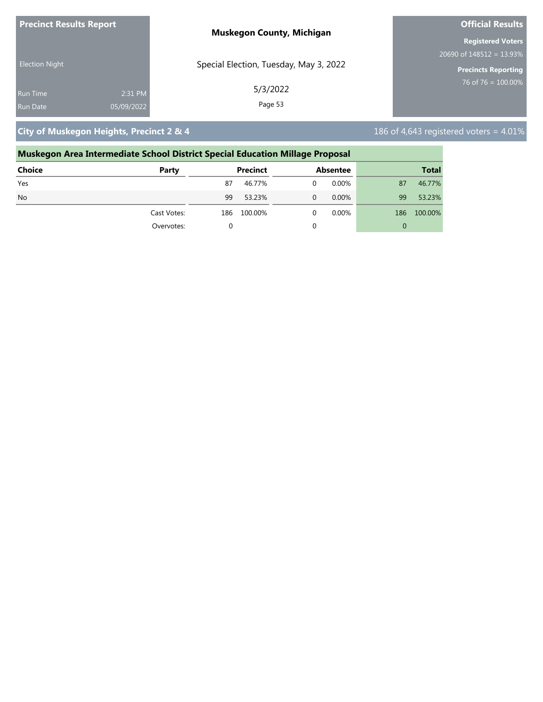| <b>Precinct Results Report</b> |            | <b>Muskegon County, Michigan</b>       | <b>Official Results</b>     |  |
|--------------------------------|------------|----------------------------------------|-----------------------------|--|
|                                |            |                                        | <b>Registered Voters</b>    |  |
|                                |            |                                        | 20690 of $148512 = 13.93\%$ |  |
| <b>Election Night</b>          |            | Special Election, Tuesday, May 3, 2022 | <b>Precincts Reporting</b>  |  |
| <b>Run Time</b>                | 2:31 PM    | 5/3/2022                               | $76$ of 76 = 100.00%        |  |
| Run Date                       | 05/09/2022 | Page 53                                |                             |  |

**City of Muskegon Heights, Precinct 2 & 4** 186 of 4,643 registered voters = 4.01%

### **Muskegon Area Intermediate School District Special Education Millage Proposal Choice Party Precinct Absentee Total** Yes 87 46.77% 0 0.00% 87 46.77% No 99 53.23% 0 0.00% 99 53.23% Cast Votes: 186 100.00% 0 0.00% 186 100.00% Overvotes: 0 0 0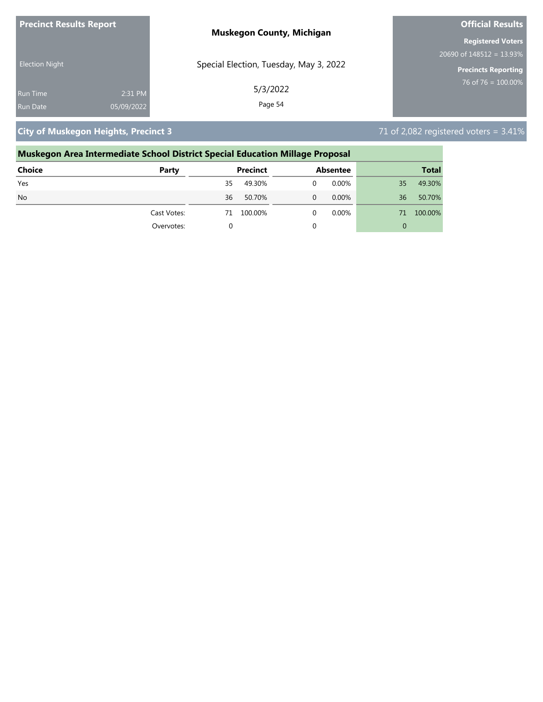| <b>Precinct Results Report</b> |            | <b>Muskegon County, Michigan</b>       | <b>Official Results</b>     |  |
|--------------------------------|------------|----------------------------------------|-----------------------------|--|
|                                |            |                                        | <b>Registered Voters</b>    |  |
| <b>Election Night</b>          |            |                                        | 20690 of $148512 = 13.93\%$ |  |
|                                |            | Special Election, Tuesday, May 3, 2022 | <b>Precincts Reporting</b>  |  |
| <b>Run Time</b>                | 2:31 PM    | 5/3/2022                               | 76 of 76 = $100.00\%$       |  |
| <b>Run Date</b>                | 05/09/2022 | Page 54                                |                             |  |

**City of Muskegon Heights, Precinct 3** 71 of 2,082 registered voters = 3.41%

### **Muskegon Area Intermediate School District Special Education Millage Proposal Choice Party Precinct Absentee Total** Yes 35 49.30% 0 0.00% 35 49.30% No 36 50.70% 0 0.00% 36 50.70% Cast Votes: 71 100.00% 0 0.00% 71 100.00% Overvotes: 0 0 0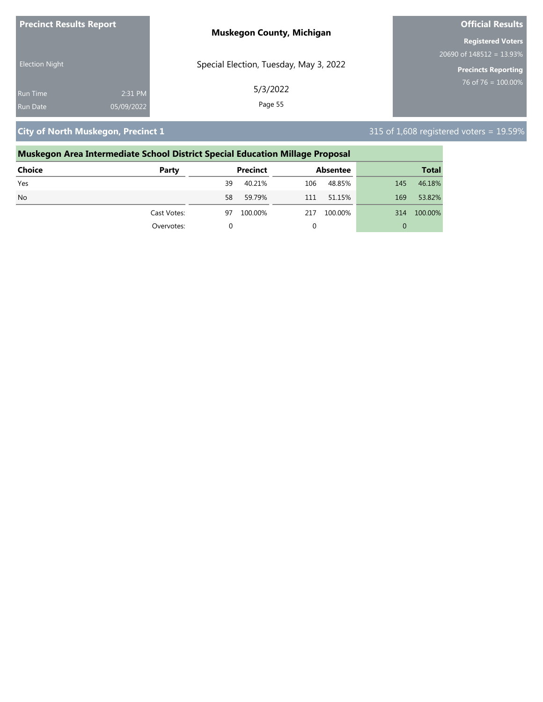| <b>Precinct Results Report</b> | <b>Muskegon County, Michigan</b>       | <b>Official Results</b>                  |  |
|--------------------------------|----------------------------------------|------------------------------------------|--|
|                                |                                        | <b>Registered Voters</b>                 |  |
|                                |                                        | $20690$ of $148\overline{512} = 13.93\%$ |  |
| <b>Election Night</b>          | Special Election, Tuesday, May 3, 2022 | <b>Precincts Reporting</b>               |  |
| 2:31 PM<br><b>Run Time</b>     | 5/3/2022                               | $76$ of 76 = 100.00%                     |  |
| 05/09/2022<br><b>Run Date</b>  | Page 55                                |                                          |  |

**City of North Muskegon, Precinct 1** 315 of 1,608 registered voters = 19.59%

### **Muskegon Area Intermediate School District Special Education Millage Proposal Choice Party Precinct Absentee Total** Yes 39 40.21% 106 48.85% 145 46.18% No 58 59.79% 111 51.15% 169 53.82% Cast Votes: 97 100.00% 217 100.00% 314 100.00% Overvotes: 0 0 0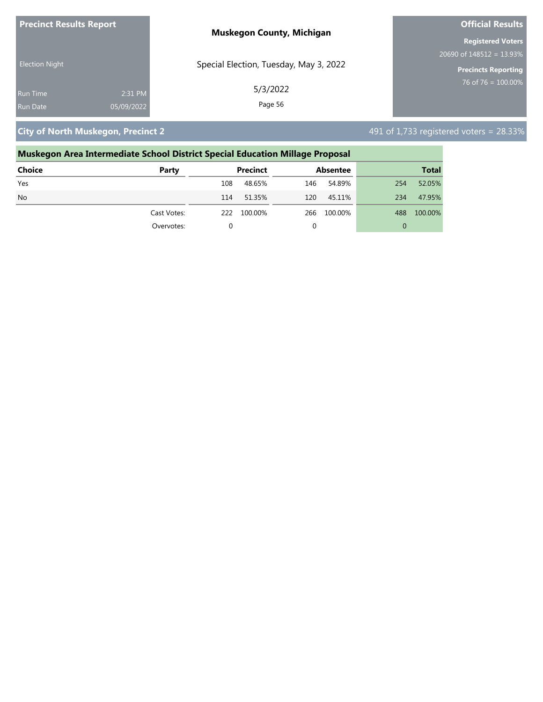| <b>Precinct Results Report</b> |            | <b>Muskegon County, Michigan</b>       | <b>Official Results</b>     |  |
|--------------------------------|------------|----------------------------------------|-----------------------------|--|
|                                |            |                                        | <b>Registered Voters</b>    |  |
| <b>Election Night</b>          |            |                                        | 20690 of $148512 = 13.93\%$ |  |
|                                |            | Special Election, Tuesday, May 3, 2022 | <b>Precincts Reporting</b>  |  |
| <b>Run Time</b>                | 2:31 PM    | 5/3/2022                               | 76 of 76 = $100.00\%$       |  |
| <b>Run Date</b>                | 05/09/2022 | Page 56                                |                             |  |

**City of North Muskegon, Precinct 2**  $\overline{2}$  **City of 1,733 registered voters = 28.33%** 

### **Muskegon Area Intermediate School District Special Education Millage Proposal Choice Party Precinct Absentee Total** Yes 108 48.65% 146 54.89% 254 52.05% No 114 51.35% 120 45.11% 234 47.95% Cast Votes: 222 100.00% 266 100.00% 488 100.00% Overvotes: 0 0 0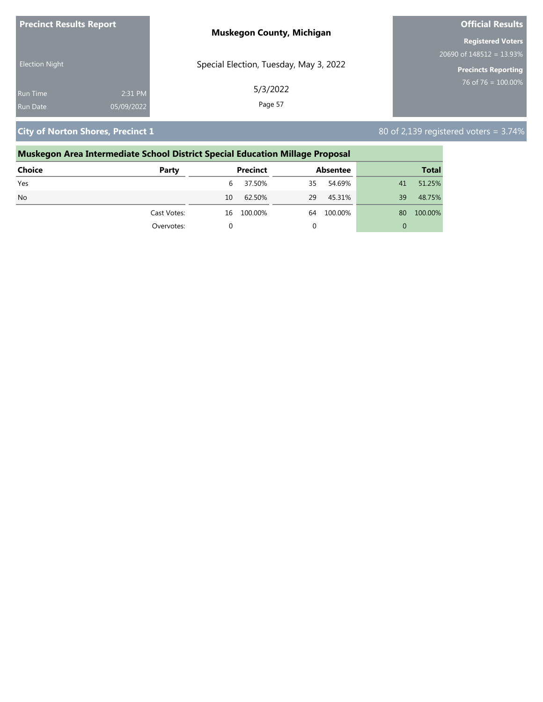| <b>Precinct Results Report</b> |            | <b>Muskegon County, Michigan</b>       | <b>Official Results</b>     |  |  |
|--------------------------------|------------|----------------------------------------|-----------------------------|--|--|
|                                |            |                                        | <b>Registered Voters</b>    |  |  |
| <b>Election Night</b>          |            |                                        | 20690 of $148512 = 13.93\%$ |  |  |
|                                |            | Special Election, Tuesday, May 3, 2022 | Precincts Reporting         |  |  |
| <b>Run Time</b>                | 2:31 PM    | 5/3/2022                               | 76 of 76 = $100.00\%$       |  |  |
| <b>Run Date</b>                | 05/09/2022 | Page 57                                |                             |  |  |

**City of Norton Shores, Precinct 1** 80 of 2,139 registered voters = 3.74%

### **Muskegon Area Intermediate School District Special Education Millage Proposal Choice Party Precinct Absentee Total** Yes 6 37.50% 35 54.69% 41 51.25% No 10 62.50% 29 45.31% 39 48.75% Cast Votes: 16 100.00% 64 100.00% 80 100.00% Overvotes: 0 0 0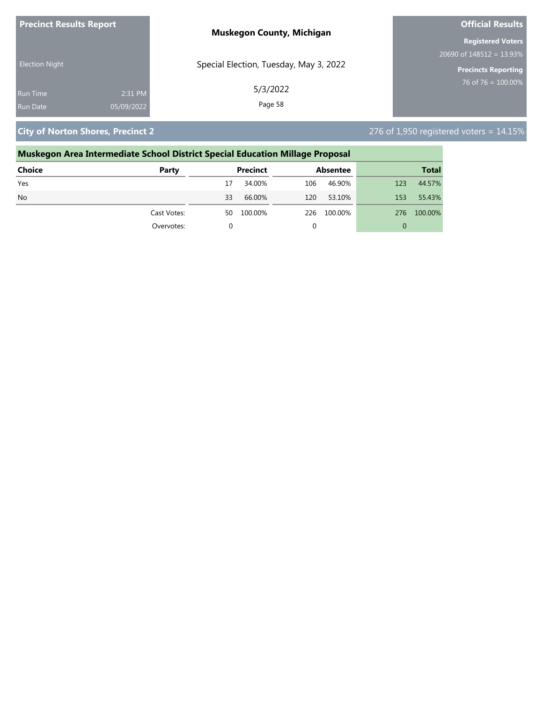| <b>Precinct Results Report</b> |            | <b>Muskegon County, Michigan</b>       | <b>Official Results</b>     |  |
|--------------------------------|------------|----------------------------------------|-----------------------------|--|
|                                |            |                                        | <b>Registered Voters</b>    |  |
|                                |            |                                        | 20690 of $148512 = 13.93\%$ |  |
| <b>Election Night</b>          |            | Special Election, Tuesday, May 3, 2022 | Precincts Reporting         |  |
| <b>Run Time</b>                | 2:31 PM    | 5/3/2022                               | 76 of 76 = $100.00\%$       |  |
| Run Date                       | 05/09/2022 | Page 58                                |                             |  |

**City of Norton Shores, Precinct 2** 276 of 1,950 registered voters = 14.15%

### **Muskegon Area Intermediate School District Special Education Millage Proposal Choice Party Precinct Absentee Total** Yes 17 34.00% 106 46.90% 123 44.57%

| Overvotes:  |    |           |      |           |      |             |
|-------------|----|-----------|------|-----------|------|-------------|
| Cast Votes: | 50 | 100.00%   | 226  | 100.00%   |      | 276 100.00% |
| <b>No</b>   | 33 | 66.00%    | 120  | 53.10%    | 153  | 55.43%      |
| 152         |    | -94.UU /0 | TOO. | 40.JU / 0 | LZJ. | - 44.J/70   |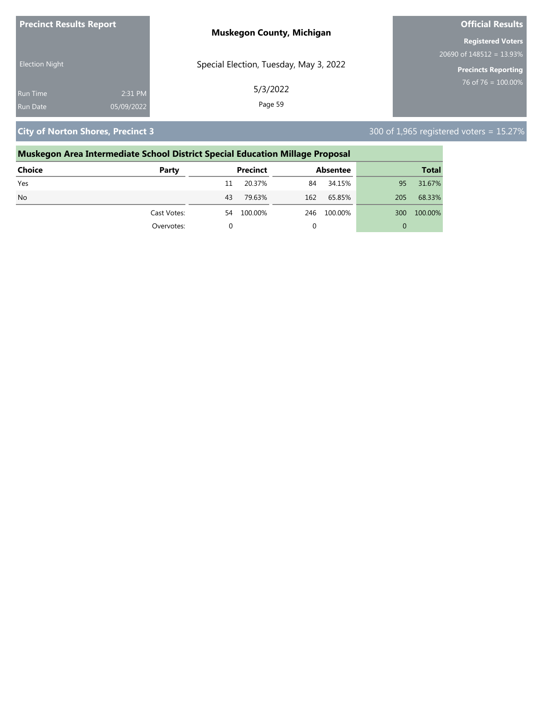| <b>Precinct Results Report</b> | <b>Muskegon County, Michigan</b>       | <b>Official Results</b>     |  |  |
|--------------------------------|----------------------------------------|-----------------------------|--|--|
|                                |                                        | <b>Registered Voters</b>    |  |  |
|                                |                                        | 20690 of $148512 = 13.93\%$ |  |  |
| <b>Election Night</b>          | Special Election, Tuesday, May 3, 2022 | <b>Precincts Reporting</b>  |  |  |
| 2:31 PM<br><b>Run Time</b>     | 5/3/2022                               | 76 of 76 = $100.00\%$       |  |  |
| 05/09/2022<br><b>Run Date</b>  | Page 59                                |                             |  |  |

**City of Norton Shores, Precinct 3 300 of 1,965** registered voters = 15.27%

| Muskegon Area Intermediate School District Special Education Millage Proposal |             |          |                 |     |                 |     |              |
|-------------------------------------------------------------------------------|-------------|----------|-----------------|-----|-----------------|-----|--------------|
| Choice                                                                        | Party       |          | <b>Precinct</b> |     | <b>Absentee</b> |     | <b>Total</b> |
| Yes                                                                           |             | 11       | 20.37%          | 84  | 34.15%          | 95  | 31.67%       |
| N <sub>o</sub>                                                                |             | 43       | 79.63%          | 162 | 65.85%          | 205 | 68.33%       |
|                                                                               | Cast Votes: | 54       | 100.00%         | 246 | 100.00%         | 300 | 100.00%      |
|                                                                               | Overvotes:  | $\Omega$ |                 |     |                 | 0   |              |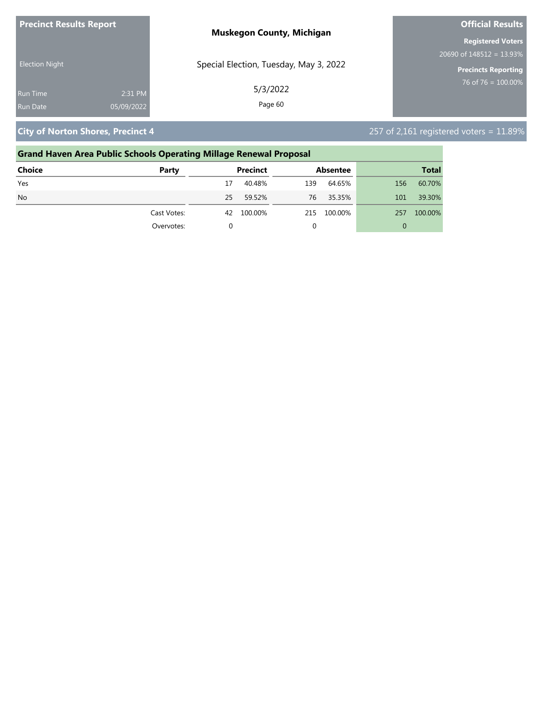| <b>Precinct Results Report</b> |            | <b>Muskegon County, Michigan</b>       | <b>Official Results</b>     |
|--------------------------------|------------|----------------------------------------|-----------------------------|
|                                |            |                                        | <b>Registered Voters</b>    |
|                                |            |                                        | 20690 of $148512 = 13.93\%$ |
| <b>Election Night</b>          |            | Special Election, Tuesday, May 3, 2022 | <b>Precincts Reporting</b>  |
| Run Time                       | 2:31 PM    | 5/3/2022                               | $76$ of 76 = 100.00%        |
| Run Date                       | 05/09/2022 | Page 60                                |                             |

**City of Norton Shores, Precinct 4** 257 of 2,161 registered voters = 11.89%

### **Grand Haven Area Public Schools Operating Millage Renewal Proposal Choice Party Precinct Absentee Total** Yes 17 40.48% 139 64.65% 156 60.70% No 25 59.52% 76 35.35% 101 39.30% Cast Votes: 42 100.00% 215 100.00% 257 100.00% Overvotes: 0 0 0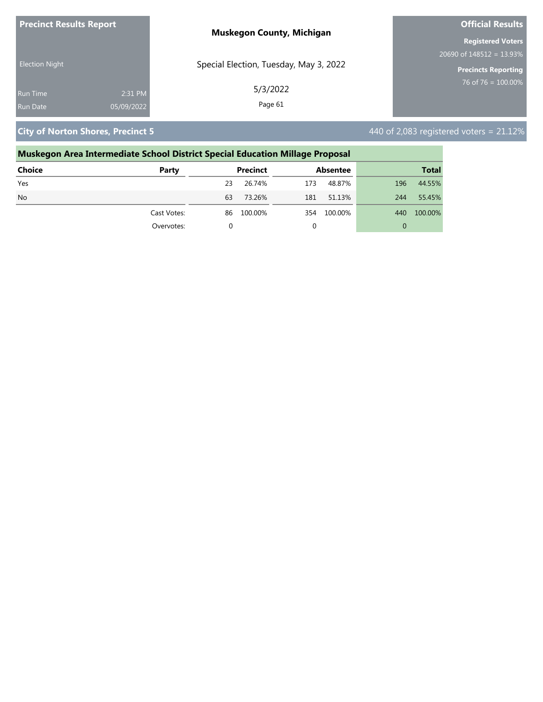| <b>Precinct Results Report</b> |            | <b>Muskegon County, Michigan</b>       | <b>Official Results</b>     |  |
|--------------------------------|------------|----------------------------------------|-----------------------------|--|
|                                |            |                                        | <b>Registered Voters</b>    |  |
|                                |            |                                        | 20690 of $148512 = 13.93\%$ |  |
| <b>Election Night</b>          |            | Special Election, Tuesday, May 3, 2022 | <b>Precincts Reporting</b>  |  |
| <b>Run Time</b>                | 2:31 PM    | 5/3/2022                               | 76 of 76 = $100.00\%$       |  |
| <b>Run Date</b>                | 05/09/2022 | Page 61                                |                             |  |

**City of Norton Shores, Precinct 5**  $\overline{a}$  **City of Norton Shores, Precinct 5**  $\overline{a}$  **440 of 2,083 registered voters = 21.12%** 

### **Muskegon Area Intermediate School District Special Education Millage Proposal Choice Party Precinct Absentee Total** Yes 23 26.74% 173 48.87% 196 44.55% No 63 73.26% 181 51.13% 244 55.45% Cast Votes: 86 100.00% 354 100.00% 440 100.00% Overvotes: 0 0 0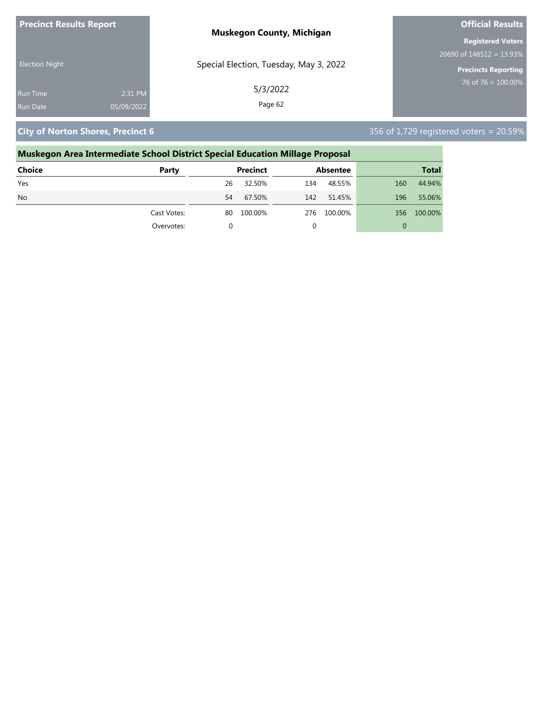| <b>Precinct Results Report</b> | <b>Muskegon County, Michigan</b>       | <b>Official Results</b>     |
|--------------------------------|----------------------------------------|-----------------------------|
|                                |                                        | <b>Registered Voters</b>    |
|                                |                                        | 20690 of $148512 = 13.93\%$ |
| <b>Election Night</b>          | Special Election, Tuesday, May 3, 2022 | <b>Precincts Reporting</b>  |
| <b>Run Time</b>                | 5/3/2022<br>2:31 PM                    | 76 of 76 = $100.00\%$       |
| 05/09/2022<br>Run Date         | Page 62                                |                             |

**City of Norton Shores, Precinct 6** 356 of 1,729 registered voters = 20.59%

## **Muskegon Area Intermediate School District Special Education Millage Proposal**

| <b>Choice</b> | Party       |    | Precinct |     | Absentee |          | <b>Total</b> |
|---------------|-------------|----|----------|-----|----------|----------|--------------|
| Yes           |             | 26 | 32.50%   | 134 | 48.55%   | 160      | 44.94%       |
| <b>No</b>     |             | 54 | 67.50%   | 142 | 51.45%   | 196      | 55.06%       |
|               | Cast Votes: | 80 | 100.00%  | 276 | 100.00%  |          | 356 100.00%  |
|               | Overvotes:  |    |          |     |          | $\Omega$ |              |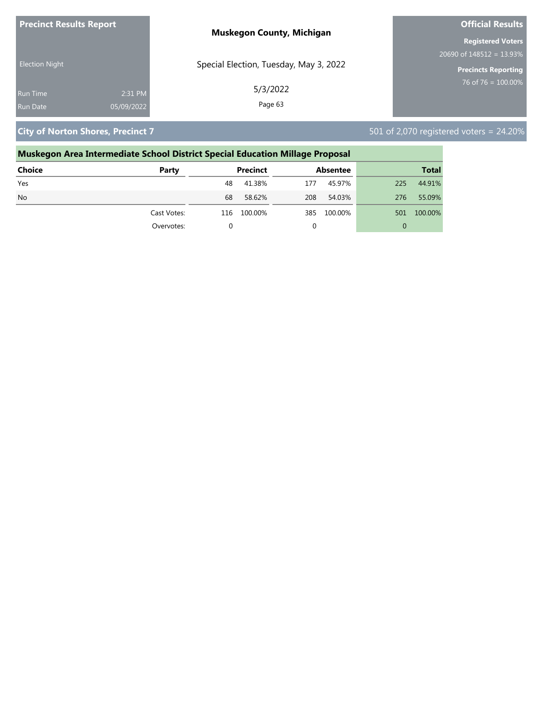| <b>Precinct Results Report</b> |            | <b>Muskegon County, Michigan</b>       | <b>Official Results</b>     |
|--------------------------------|------------|----------------------------------------|-----------------------------|
|                                |            |                                        | <b>Registered Voters</b>    |
|                                |            |                                        | 20690 of $148512 = 13.93\%$ |
| <b>Election Night</b>          |            | Special Election, Tuesday, May 3, 2022 | Precincts Reporting         |
| <b>Run Time</b>                | 2:31 PM    | 5/3/2022                               | 76 of 76 = $100.00\%$       |
| Run Date                       | 05/09/2022 | Page 63                                |                             |

**City of Norton Shores, Precinct 7 501 of 2,070 registered voters = 24.20%** 

### **Muskegon Area Intermediate School District Special Education Millage Proposal Choice Party Precinct Absentee Total**

| Yes       |             | 48 | 41.38%      | 177 | 45.97%  | 225 | 44.91%  |
|-----------|-------------|----|-------------|-----|---------|-----|---------|
| <b>No</b> |             | 68 | 58.62%      | 208 | 54.03%  | 276 | 55.09%  |
|           | Cast Votes: |    | 116 100.00% | 385 | 100.00% | 501 | 100.00% |
|           | Overvotes:  |    |             |     |         | 0   |         |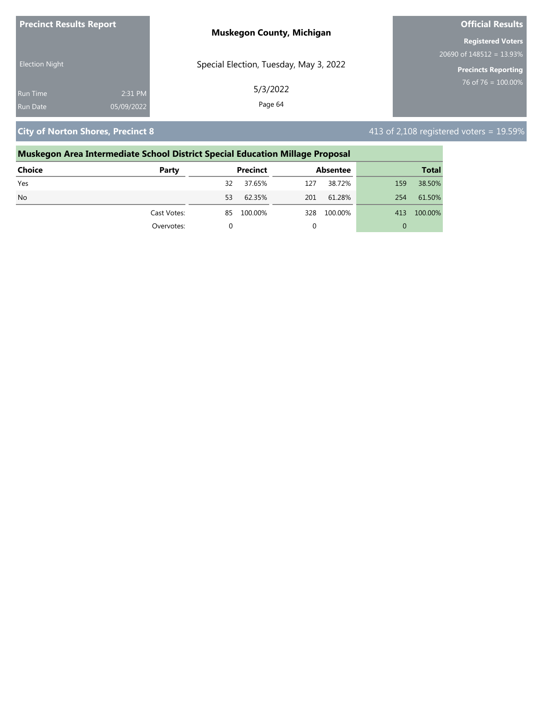| <b>Precinct Results Report</b> | <b>Muskegon County, Michigan</b>       | <b>Official Results</b>     |
|--------------------------------|----------------------------------------|-----------------------------|
|                                |                                        | <b>Registered Voters</b>    |
|                                |                                        | 20690 of $148512 = 13.93\%$ |
| <b>Election Night</b>          | Special Election, Tuesday, May 3, 2022 | <b>Precincts Reporting</b>  |
| 2:31 PM<br><b>Run Time</b>     | 5/3/2022                               | $176$ of 76 = 100.00%       |
| 05/09/2022<br><b>Run Date</b>  | Page 64                                |                             |

**City of Norton Shores, Precinct 8**  $\overline{a}$  **City of Norton Shores, Precinct 8**  $\overline{a}$  **413** of 2,108 registered voters = 19.59%

### **Muskegon Area Intermediate School District Special Education Millage Proposal Choice Party Precinct Absentee Total** Yes 32 37.65% 127 38.72% 159 38.50%

| .              |             | --- | --------   | --- | ------- | ---          | ------  |
|----------------|-------------|-----|------------|-----|---------|--------------|---------|
| N <sub>o</sub> |             | 53  | 62.35%     | 201 | 61.28%  | 254          | 61.50%  |
|                | Cast Votes: |     | 85 100.00% | 328 | 100.00% | 413          | 100.00% |
|                | Overvotes:  |     |            |     |         | $\mathbf{U}$ |         |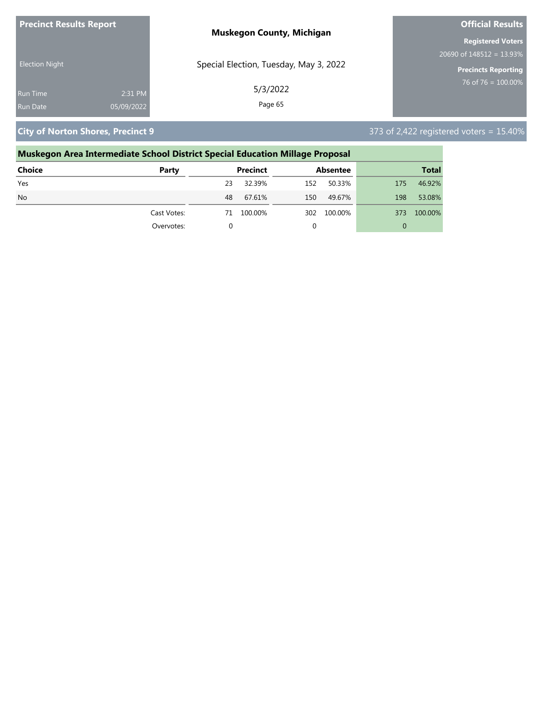| <b>Precinct Results Report</b> | <b>Muskegon County, Michigan</b>       | <b>Official Results</b>     |
|--------------------------------|----------------------------------------|-----------------------------|
|                                |                                        | <b>Registered Voters</b>    |
|                                |                                        | 20690 of $148512 = 13.93\%$ |
| <b>Election Night</b>          | Special Election, Tuesday, May 3, 2022 | <b>Precincts Reporting</b>  |
| 2:31 PM<br><b>Run Time</b>     | 5/3/2022                               | 76 of 76 = $100.00\%$       |
| 05/09/2022<br><b>Run Date</b>  | Page 65                                |                             |

**City of Norton Shores, Precinct 9** 373 of 2,422 registered voters = 15.40%

### **Muskegon Area Intermediate School District Special Education Millage Proposal**

| <b>Choice</b> | Party       |    | <b>Precinct</b> |     | <b>Absentee</b> |          | <b>Total</b> |
|---------------|-------------|----|-----------------|-----|-----------------|----------|--------------|
| Yes           |             | 23 | 32.39%          | 152 | 50.33%          | 175      | 46.92%       |
| <b>No</b>     |             | 48 | 67.61%          | 150 | 49.67%          | 198      | 53.08%       |
|               | Cast Votes: | 71 | 100.00%         | 302 | 100.00%         | 373      | 100.00%      |
|               | Overvotes:  |    |                 | 0   |                 | $\Omega$ |              |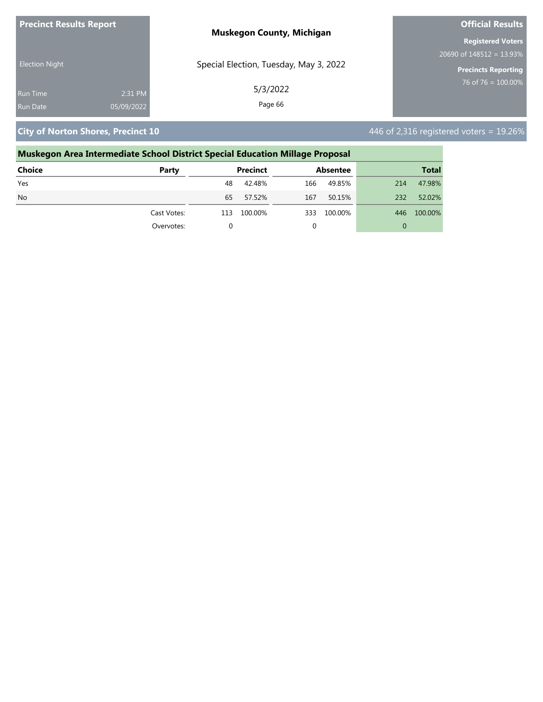| <b>Precinct Results Report</b> |            | <b>Muskegon County, Michigan</b>       | <b>Official Results</b>     |
|--------------------------------|------------|----------------------------------------|-----------------------------|
|                                |            |                                        | <b>Registered Voters</b>    |
|                                |            |                                        | 20690 of $148512 = 13.93\%$ |
| <b>Election Night</b>          |            | Special Election, Tuesday, May 3, 2022 | <b>Precincts Reporting</b>  |
| <b>Run Time</b>                | 2:31 PM    | 5/3/2022                               | $76$ of 76 = 100.00%        |
| <b>Run Date</b>                | 05/09/2022 | Page 66                                |                             |

**City of Norton Shores, Precinct 10 446 of 2,316 registered voters = 19.26%** 

### **Muskegon Area Intermediate School District Special Education Millage Proposal Choice Party Precinct Absentee Total** Yes 48 42.48% 166 49.85% 214 47.98% No 65 57.52% 167 50.15% 232 52.02% Cast Votes: 113 100.00% 333 100.00% 446 100.00% Overvotes: 0 0 0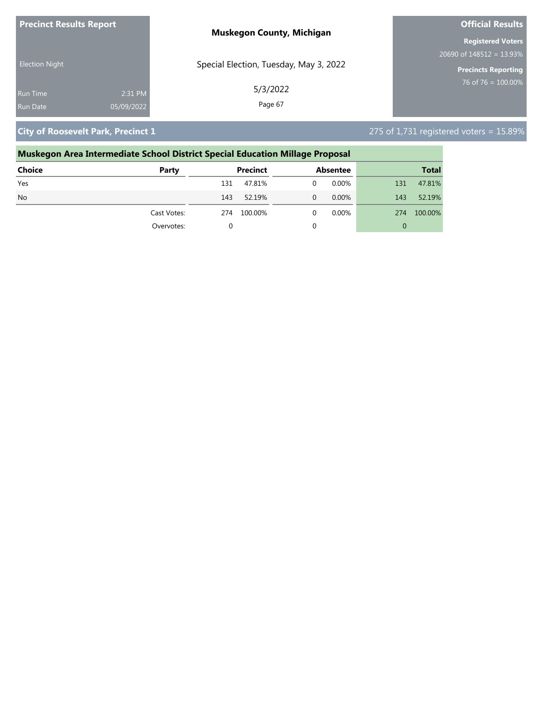| <b>Precinct Results Report</b> | <b>Muskegon County, Michigan</b>       | <b>Official Results</b>                  |
|--------------------------------|----------------------------------------|------------------------------------------|
|                                |                                        | <b>Registered Voters</b>                 |
|                                |                                        | $20690$ of $148\overline{512} = 13.93\%$ |
| <b>Election Night</b>          | Special Election, Tuesday, May 3, 2022 | <b>Precincts Reporting</b>               |
| 2:31 PM<br><b>Run Time</b>     | 5/3/2022                               | $76$ of 76 = 100.00%                     |
| 05/09/2022<br><b>Run Date</b>  | Page 67                                |                                          |

## **City of Roosevelt Park, Precinct 1** 275 of 1,731 registered voters = 15.89%

| Muskegon Area Intermediate School District Special Education Millage Proposal |             |     |                 |   |                 |     |              |
|-------------------------------------------------------------------------------|-------------|-----|-----------------|---|-----------------|-----|--------------|
| Choice                                                                        | Party       |     | <b>Precinct</b> |   | <b>Absentee</b> |     | <b>Total</b> |
| Yes                                                                           |             | 131 | 47.81%          | 0 | $0.00\%$        | 131 | 47.81%       |
| N <sub>o</sub>                                                                |             | 143 | 52.19%          | 0 | 0.00%           | 143 | 52.19%       |
|                                                                               | Cast Votes: | 274 | 100.00%         | 0 | $0.00\%$        | 274 | 100.00%      |
|                                                                               | Overvotes:  | 0   |                 |   |                 | 0   |              |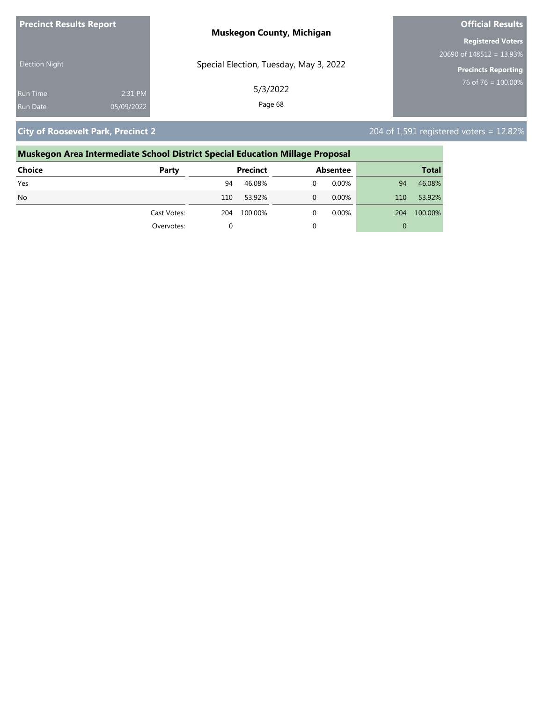| <b>Precinct Results Report</b> |            | <b>Muskegon County, Michigan</b>       | <b>Official Results</b>     |  |
|--------------------------------|------------|----------------------------------------|-----------------------------|--|
|                                |            |                                        | <b>Registered Voters</b>    |  |
|                                |            |                                        | 20690 of $148512 = 13.93\%$ |  |
| <b>Election Night</b>          |            | Special Election, Tuesday, May 3, 2022 | <b>Precincts Reporting</b>  |  |
| <b>Run Time</b>                | 2:31 PM    | 5/3/2022                               | $76$ of 76 = 100.00%        |  |
| <b>Run Date</b>                | 05/09/2022 | Page 68                                |                             |  |

**City of Roosevelt Park, Precinct 2** 204 of 1,591 registered voters = 12.82%

### **Muskegon Area Intermediate School District Special Education Millage Proposal Choice Party Precinct Absentee Total** Yes 94 46.08% 0 0.00% 94 46.08% No 110 53.92% 0 0.00% 110 53.92% Cast Votes: 204 100.00% 0 0.00% 204 100.00% Overvotes: 0 0 0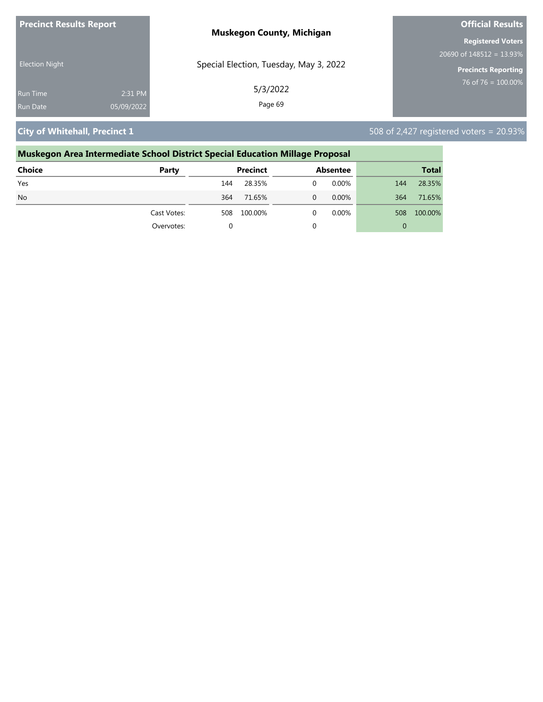| <b>Precinct Results Report</b> | <b>Muskegon County, Michigan</b>       | <b>Official Results</b>     |  |
|--------------------------------|----------------------------------------|-----------------------------|--|
|                                |                                        | <b>Registered Voters</b>    |  |
|                                |                                        | 20690 of $148512 = 13.93\%$ |  |
| <b>Election Night</b>          | Special Election, Tuesday, May 3, 2022 | <b>Precincts Reporting</b>  |  |
| 2:31 PM<br>Run Time            | 5/3/2022                               | 76 of 76 = $100.00\%$       |  |
| 05/09/2022<br><b>Run Date</b>  | Page 69                                |                             |  |

**City of Whitehall, Precinct 1** 508 of 2,427 registered voters = 20.93%

## **Muskegon Area Intermediate School District Special Education Millage Proposal**

| <b>Choice</b> | Party       |     | Precinct | <b>Absentee</b> |     | <b>Total</b> |
|---------------|-------------|-----|----------|-----------------|-----|--------------|
| Yes           |             | 144 | 28.35%   | 0.00%           | 144 | 28.35%       |
| <b>No</b>     |             | 364 | 71.65%   | $0.00\%$        | 364 | 71.65%       |
|               | Cast Votes: | 508 | 100.00%  | $0.00\%$        | 508 | 100.00%      |
|               | Overvotes:  |     |          |                 | 0   |              |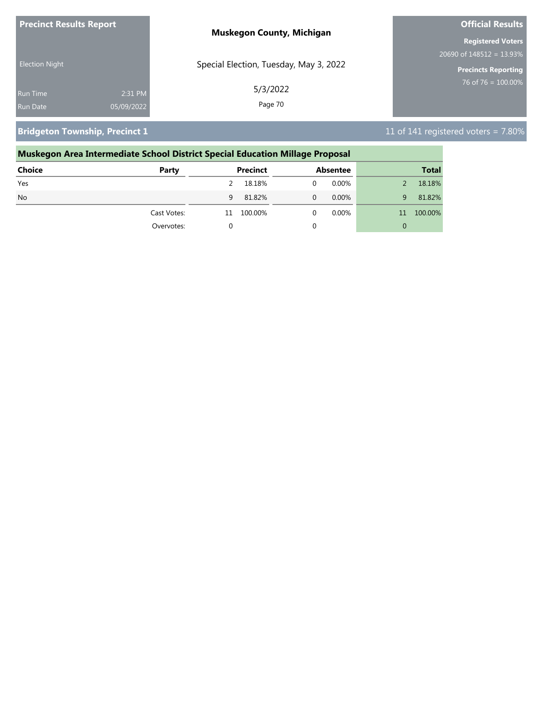| <b>Precinct Results Report</b> | <b>Muskegon County, Michigan</b>       | <b>Official Results</b>                  |
|--------------------------------|----------------------------------------|------------------------------------------|
|                                |                                        | <b>Registered Voters</b>                 |
|                                |                                        | $20690$ of $148\overline{512} = 13.93\%$ |
| <b>Election Night</b>          | Special Election, Tuesday, May 3, 2022 | <b>Precincts Reporting</b>               |
| 2:31 PM<br><b>Run Time</b>     | 5/3/2022                               | 76 of 76 = $100.00\%$                    |
| 05/09/2022<br><b>Run Date</b>  | Page 70                                |                                          |

**Bridgeton Township, Precinct 1** 11 of 141 registered voters = 7.80%

### **Muskegon Area Intermediate School District Special Education Millage Proposal Choice Party Precinct Absentee Total**

| ------    | .           |    | .       | _________ |    | $\sim$  |
|-----------|-------------|----|---------|-----------|----|---------|
| Yes       |             | 2  | 18.18%  | $0.00\%$  |    | 18.18%  |
| <b>No</b> |             | 9  | 81.82%  | $0.00\%$  | 9  | 81.82%  |
|           | Cast Votes: | 11 | 100.00% | $0.00\%$  | 11 | 100.00% |
|           | Overvotes:  |    |         |           | 0  |         |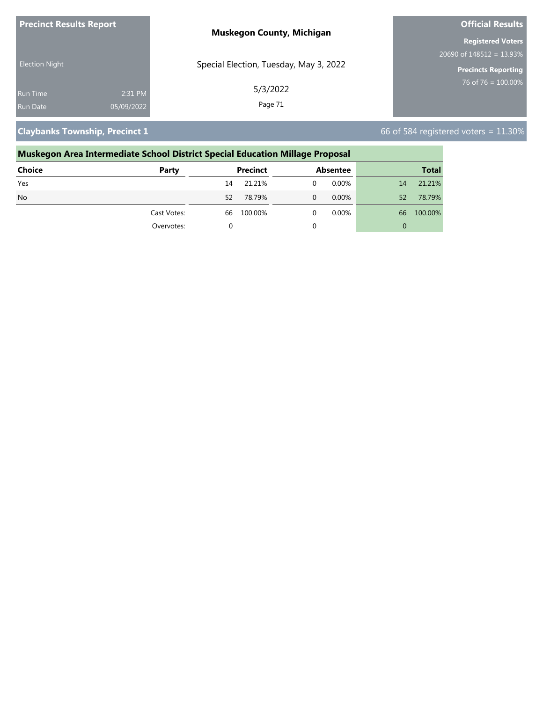| <b>Precinct Results Report</b> |            | <b>Muskegon County, Michigan</b>       | <b>Official Results</b>    |  |
|--------------------------------|------------|----------------------------------------|----------------------------|--|
|                                |            |                                        | <b>Registered Voters</b>   |  |
|                                |            |                                        | $20690$ of 148512 = 13.93% |  |
| <b>Election Night</b>          |            | Special Election, Tuesday, May 3, 2022 | <b>Precincts Reporting</b> |  |
| <b>Run Time</b>                | 2:31 PM    | 5/3/2022                               | 76 of 76 = $100.00\%$      |  |
| <b>Run Date</b>                | 05/09/2022 | Page 71                                |                            |  |

**Claybanks Township, Precinct 1 Claybanks Township, Precinct 1 66 of 584 registered voters = 11.30%** 

### **Muskegon Area Intermediate School District Special Education Millage Proposal Choice Party Precinct Absentee Total** Yes 14 21.21% 0 0.00% 14 21.21% No 52 78.79% 0 0.00% 52 78.79% Cast Votes: 66 100.00% 0 0.00% 66 100.00% Overvotes: 0 0 0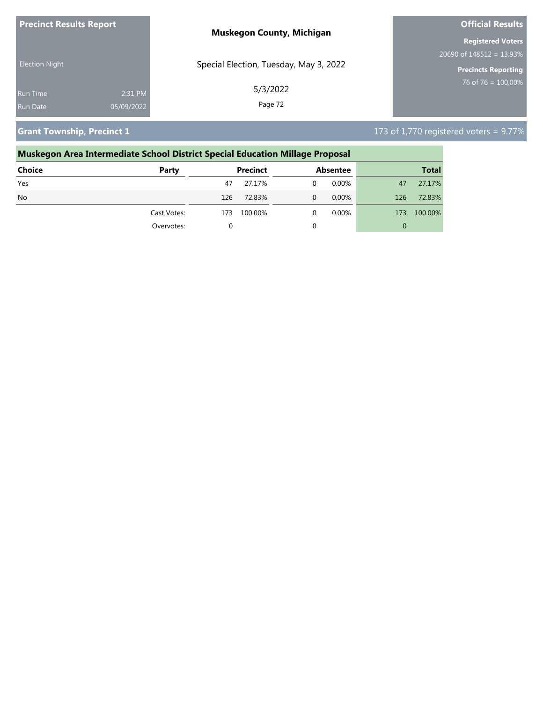| <b>Precinct Results Report</b> |            | <b>Muskegon County, Michigan</b>       | <b>Official Results</b>     |  |
|--------------------------------|------------|----------------------------------------|-----------------------------|--|
|                                |            |                                        | <b>Registered Voters</b>    |  |
|                                |            |                                        | 20690 of $148512 = 13.93\%$ |  |
| <b>Election Night</b>          |            | Special Election, Tuesday, May 3, 2022 | <b>Precincts Reporting</b>  |  |
| <b>Run Time</b>                | 2:31 PM    | 5/3/2022                               | 76 of 76 = $100.00\%$       |  |
| Run Date                       | 05/09/2022 | Page 72                                |                             |  |

**Grant Township, Precinct 1** 173 of 1,770 registered voters = 9.77%

### **Muskegon Area Intermediate School District Special Education Millage Proposal Choice Party Precinct Absentee Total** Yes 47 27.17% 0 0.00% 47 27.17% No 126 72.83% 0 0.00% 126 72.83% Cast Votes: 173 100.00% 0 0.00% 173 100.00% Overvotes: 0 0 0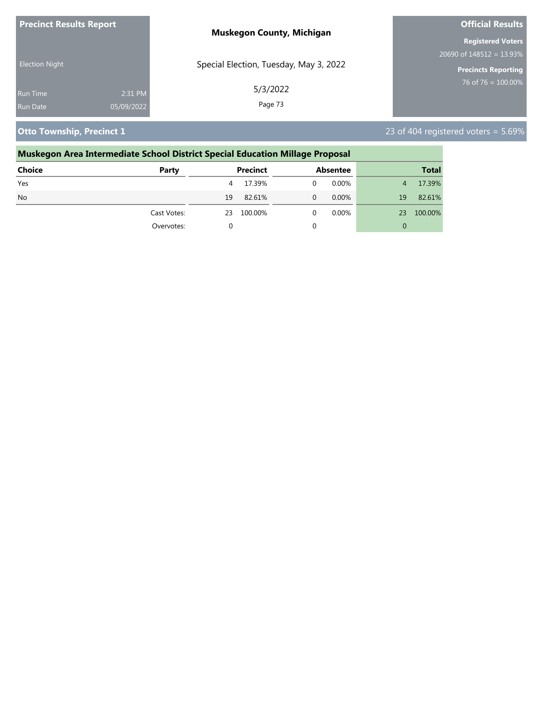| <b>Precinct Results Report</b> |            | <b>Muskegon County, Michigan</b>       | <b>Official Results</b>                  |  |
|--------------------------------|------------|----------------------------------------|------------------------------------------|--|
|                                |            |                                        | <b>Registered Voters</b>                 |  |
| <b>Election Night</b>          |            |                                        | $20690$ of $148\overline{512} = 13.93\%$ |  |
|                                |            | Special Election, Tuesday, May 3, 2022 | <b>Precincts Reporting</b>               |  |
| <b>Run Time</b>                | 2:31 PM    | 5/3/2022                               | $76$ of 76 = 100.00%                     |  |
| <b>Run Date</b>                | 05/09/2022 | Page 73                                |                                          |  |

**Otto Township, Precinct 1** 23 of 404 registered voters = 5.69%

## **Muskegon Area Intermediate School District Special Education Millage Proposal Choice Party Precinct Absentee Total** Yes 4 17.39% 0 0.00% 4 17.39% No  $19 \quad 82.61\%$  0  $0.00\%$  19  $82.61\%$ Cast Votes: 23 100.00% 0 0.00% 23 100.00% Overvotes: 0 0 0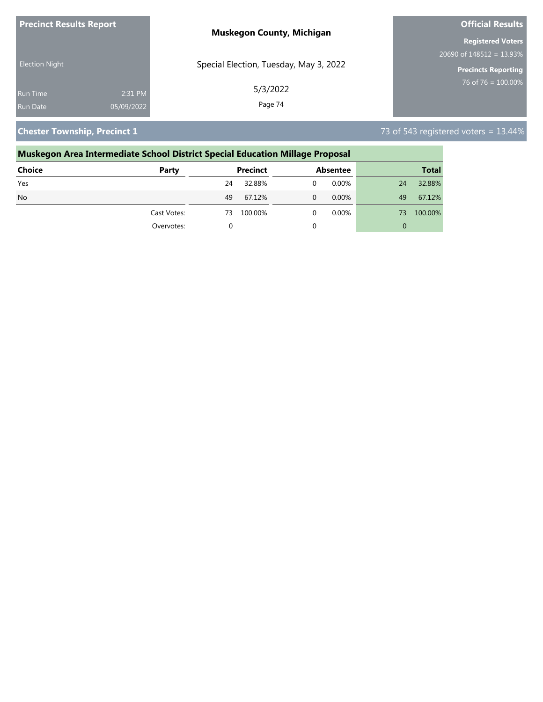| <b>Precinct Results Report</b> |            | <b>Muskegon County, Michigan</b>       | <b>Official Results</b>     |  |
|--------------------------------|------------|----------------------------------------|-----------------------------|--|
|                                |            |                                        | <b>Registered Voters</b>    |  |
| <b>Election Night</b>          |            |                                        | 20690 of $148512 = 13.93\%$ |  |
|                                |            | Special Election, Tuesday, May 3, 2022 | <b>Precincts Reporting</b>  |  |
| <b>Run Time</b>                | 2:31 PM    | 5/3/2022                               | 76 of 76 = $100.00\%$       |  |
| Run Date                       | 05/09/2022 | Page 74                                |                             |  |

**Chester Township, Precinct 1 Chester Township, Precinct 1** *Chester Township, Precinct 1* 

### **Muskegon Area Intermediate School District Special Education Millage Proposal Choice Party Precinct Absentee Total** Yes 24 32.88% 0 0.00% 24 32.88% No 49 67.12% 0 0.00% 49 67.12% Cast Votes: 73 100.00% 0 0.00% 73 100.00% Overvotes: 0 0 0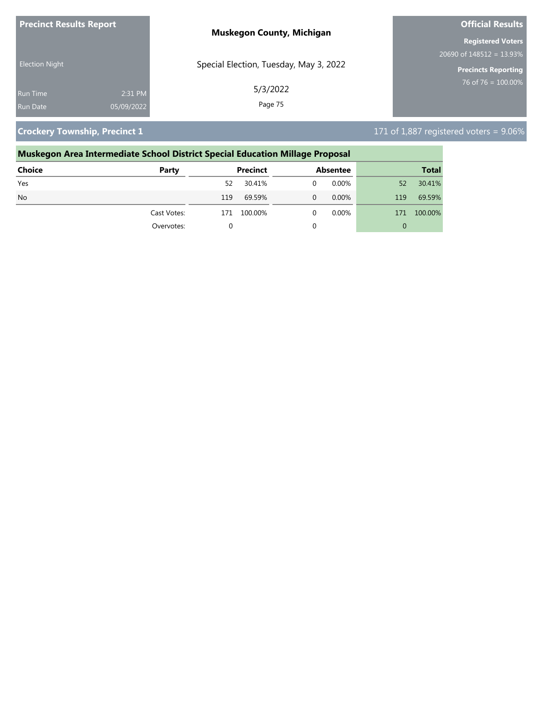| <b>Precinct Results Report</b> |            | <b>Muskegon County, Michigan</b>       | <b>Official Results</b>     |  |
|--------------------------------|------------|----------------------------------------|-----------------------------|--|
|                                |            |                                        | <b>Registered Voters</b>    |  |
| <b>Election Night</b>          |            |                                        | 20690 of $148512 = 13.93\%$ |  |
|                                |            | Special Election, Tuesday, May 3, 2022 | <b>Precincts Reporting</b>  |  |
| <b>Run Time</b>                | 2:31 PM    | 5/3/2022                               | 76 of 76 = $100.00\%$       |  |
| Run Date                       | 05/09/2022 | Page 75                                |                             |  |

**Crockery Township, Precinct 1** 171 of 1,887 registered voters = 9.06%

## **Muskegon Area Intermediate School District Special Education Millage Proposal Choice Party Precinct Absentee Total** Yes 52 30.41% 0 0.00% 52 30.41% No 119 69.59% 0 0.00% 119 69.59% Cast Votes: 171 100.00% 0 0.00% 171 100.00% Overvotes: 0 0 0